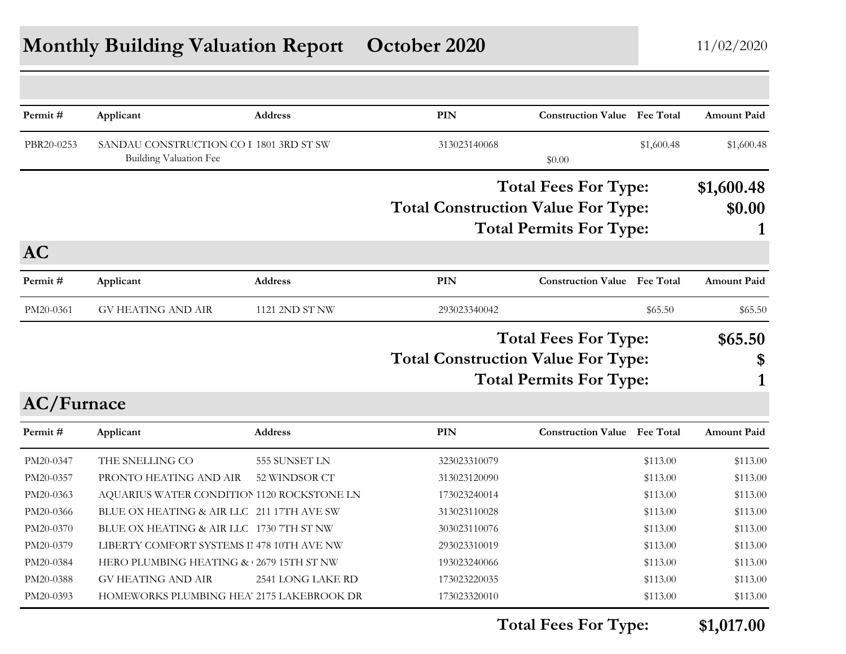## **Monthly Building Valuation Report October 2020** 11/02/2020

| Permit#    | Applicant                                  | <b>Address</b>    | <b>PIN</b>                                | <b>Construction Value</b> Fee Total |            | <b>Amount Paid</b> |
|------------|--------------------------------------------|-------------------|-------------------------------------------|-------------------------------------|------------|--------------------|
| PBR20-0253 | SANDAU CONSTRUCTION CO I 1801 3RD ST SW    |                   | 313023140068                              |                                     | \$1,600.48 | \$1,600.48         |
|            | <b>Building Valuation Fee</b>              |                   |                                           | \$0.00                              |            |                    |
|            |                                            |                   |                                           | <b>Total Fees For Type:</b>         |            | \$1,600.48         |
|            |                                            |                   | <b>Total Construction Value For Type:</b> |                                     |            | \$0.00             |
|            |                                            |                   |                                           | <b>Total Permits For Type:</b>      |            |                    |
| <b>AC</b>  |                                            |                   |                                           |                                     |            |                    |
| Permit#    | Applicant                                  | <b>Address</b>    | <b>PIN</b>                                | <b>Construction Value</b> Fee Total |            | <b>Amount Paid</b> |
| PM20-0361  | <b>GV HEATING AND AIR</b>                  | 1121 2ND ST NW    | 293023340042                              |                                     | \$65.50    | \$65.50            |
|            |                                            |                   |                                           | <b>Total Fees For Type:</b>         |            | \$65.50            |
|            |                                            |                   | <b>Total Construction Value For Type:</b> |                                     |            | \$                 |
|            |                                            |                   |                                           | <b>Total Permits For Type:</b>      |            |                    |
| AC/Furnace |                                            |                   |                                           |                                     |            |                    |
| Permit#    | Applicant                                  | <b>Address</b>    | <b>PIN</b>                                | <b>Construction Value</b> Fee Total |            | <b>Amount Paid</b> |
| PM20-0347  | THE SNELLING CO                            | 555 SUNSET LN     | 323023310079                              |                                     | \$113.00   | \$113.00           |
| PM20-0357  | PRONTO HEATING AND AIR                     | 52 WINDSOR CT     | 313023120090                              |                                     | \$113.00   | \$113.00           |
| PM20-0363  | AQUARIUS WATER CONDITION 1120 ROCKSTONE LN |                   | 173023240014                              |                                     | \$113.00   | \$113.00           |
| PM20-0366  | BLUE OX HEATING & AIR LLC 211 17TH AVE SW  |                   | 313023110028                              |                                     | \$113.00   | \$113.00           |
| PM20-0370  | BLUE OX HEATING & AIR LLC 1730 7TH ST NW   |                   | 303023110076                              |                                     | \$113.00   | \$113.00           |
| PM20-0379  | LIBERTY COMFORT SYSTEMS II 478 10TH AVE NW |                   | 293023310019                              |                                     | \$113.00   | \$113.00           |
|            |                                            |                   |                                           |                                     | \$113.00   |                    |
| PM20-0384  | HERO PLUMBING HEATING & 2679 15TH ST NW    |                   | 193023240066                              |                                     |            | \$113.00           |
| PM20-0388  | <b>GV HEATING AND AIR</b>                  | 2541 LONG LAKE RD | 173023220035                              |                                     | \$113.00   | \$113.00           |

**Total Fees For Type: \$1,017.00**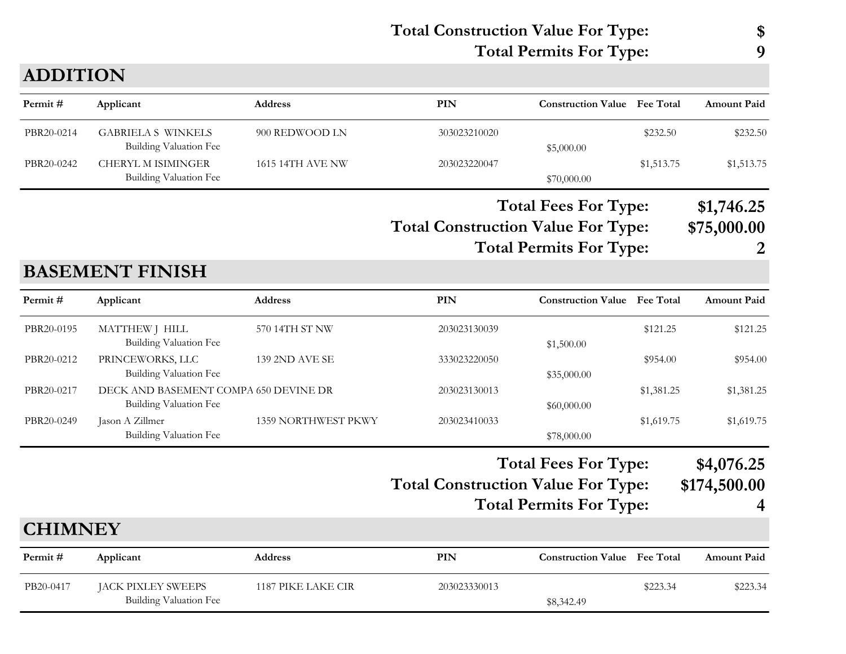#### **ADDITION**

| Permit #   | Applicant                                           | <b>Address</b>   | PIN          | <b>Construction Value</b> Fee Total |            | <b>Amount Paid</b> |
|------------|-----------------------------------------------------|------------------|--------------|-------------------------------------|------------|--------------------|
| PBR20-0214 | <b>GABRIELA S WINKELS</b><br>Building Valuation Fee | 900 REDWOOD LN   | 303023210020 | \$5,000.00                          | \$232.50   | \$232.50           |
| PBR20-0242 | CHERYL M ISIMINGER<br>Building Valuation Fee        | 1615 14TH AVE NW | 203023220047 | \$70,000.00                         | \$1,513.75 | \$1,513.75         |

**Total Construction Value For Type: \$75,000.00 Total Fees For Type: \$1,746.25 Total Permits For Type: 2**

#### **BASEMENT FINISH**

| Permit #       | Applicant                                                       | <b>Address</b>        | PIN                                       | <b>Construction Value</b>                                     | <b>Fee Total</b> | <b>Amount Paid</b>              |
|----------------|-----------------------------------------------------------------|-----------------------|-------------------------------------------|---------------------------------------------------------------|------------------|---------------------------------|
| PBR20-0195     | MATTHEW J HILL<br><b>Building Valuation Fee</b>                 | 570 14TH ST NW        | 203023130039                              | \$1,500.00                                                    | \$121.25         | \$121.25                        |
| PBR20-0212     | PRINCEWORKS, LLC<br>Building Valuation Fee                      | <b>139 2ND AVE SE</b> | 333023220050                              | \$35,000.00                                                   | \$954.00         | \$954.00                        |
| PBR20-0217     | DECK AND BASEMENT COMPA 650 DEVINE DR<br>Building Valuation Fee |                       | 203023130013                              | \$60,000.00                                                   | \$1,381.25       | \$1,381.25                      |
| PBR20-0249     | Jason A Zillmer<br><b>Building Valuation Fee</b>                | 1359 NORTHWEST PKWY   | 203023410033                              | \$78,000.00                                                   | \$1,619.75       | \$1,619.75                      |
|                |                                                                 |                       | <b>Total Construction Value For Type:</b> | <b>Total Fees For Type:</b><br><b>Total Permits For Type:</b> |                  | \$4,076.25<br>\$174,500.00<br>4 |
| <b>CHIMNEY</b> |                                                                 |                       |                                           |                                                               |                  |                                 |
| Permit#        | Applicant                                                       | Address               | PIN                                       | <b>Construction Value</b>                                     | <b>Fee Total</b> | <b>Amount Paid</b>              |
| PB20-0417      | JACK PIXLEY SWEEPS<br>Building Valuation Fee                    | 1187 PIKE LAKE CIR    | 203023330013                              | \$8,342.49                                                    | \$223.34         | \$223.34                        |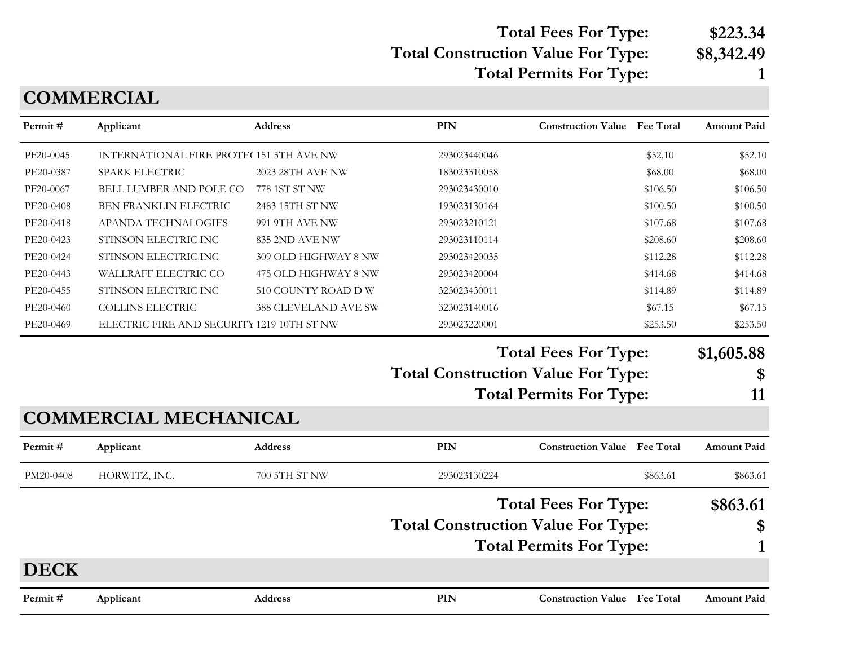# **Total Fees For Type: \$223.34**

# **Total Construction Value For Type: \$8,342.49**

**Total Permits For Type: 1**

#### **COMMERCIAL**

| Permit#     | Applicant                                  | Address              | <b>PIN</b>                                | <b>Construction Value</b> Fee Total | <b>Amount Paid</b> |
|-------------|--------------------------------------------|----------------------|-------------------------------------------|-------------------------------------|--------------------|
| PF20-0045   | INTERNATIONAL FIRE PROTE(151 5TH AVE NW    |                      | 293023440046                              | \$52.10                             | \$52.10            |
| PE20-0387   | SPARK ELECTRIC                             | 2023 28TH AVE NW     | 183023310058                              | \$68.00                             | \$68.00            |
| PF20-0067   | BELL LUMBER AND POLE CO                    | 778 1ST ST NW        | 293023430010                              | \$106.50                            | \$106.50           |
| PE20-0408   | BEN FRANKLIN ELECTRIC                      | 2483 15TH ST NW      | 193023130164                              | \$100.50                            | \$100.50           |
| PE20-0418   | APANDA TECHNALOGIES                        | 991 9TH AVE NW       | 293023210121                              | \$107.68                            | \$107.68           |
| PE20-0423   | STINSON ELECTRIC INC                       | 835 2ND AVE NW       | 293023110114                              | \$208.60                            | \$208.60           |
| PE20-0424   | STINSON ELECTRIC INC                       | 309 OLD HIGHWAY 8 NW | 293023420035                              | \$112.28                            | \$112.28           |
| PE20-0443   | WALLRAFF ELECTRIC CO                       | 475 OLD HIGHWAY 8 NW | 293023420004                              | \$414.68                            | \$414.68           |
| PE20-0455   | STINSON ELECTRIC INC                       | 510 COUNTY ROAD D W  | 323023430011                              | \$114.89                            | \$114.89           |
| PE20-0460   | <b>COLLINS ELECTRIC</b>                    | 388 CLEVELAND AVE SW | 323023140016                              | \$67.15                             | \$67.15            |
| PE20-0469   | ELECTRIC FIRE AND SECURITY 1219 10TH ST NW |                      | 293023220001                              | \$253.50                            | \$253.50           |
|             |                                            |                      | <b>Total Construction Value For Type:</b> | <b>Total Fees For Type:</b>         | \$1,605.88<br>\$   |
|             |                                            |                      |                                           | <b>Total Permits For Type:</b>      | 11                 |
|             | <b>COMMERCIAL MECHANICAL</b>               |                      |                                           |                                     |                    |
| Permit#     | Applicant                                  | <b>Address</b>       | PIN                                       | <b>Construction Value</b> Fee Total | <b>Amount Paid</b> |
| PM20-0408   | HORWITZ, INC.                              | 700 5TH ST NW        | 293023130224                              | \$863.61                            | \$863.61           |
|             |                                            |                      |                                           | <b>Total Fees For Type:</b>         | \$863.61           |
|             |                                            |                      | <b>Total Construction Value For Type:</b> |                                     | \$                 |
|             |                                            |                      |                                           | <b>Total Permits For Type:</b>      |                    |
|             |                                            |                      |                                           |                                     |                    |
| <b>DECK</b> |                                            |                      |                                           |                                     |                    |
| Permit#     | Applicant                                  | <b>Address</b>       | PIN                                       | <b>Construction Value</b> Fee Total | <b>Amount Paid</b> |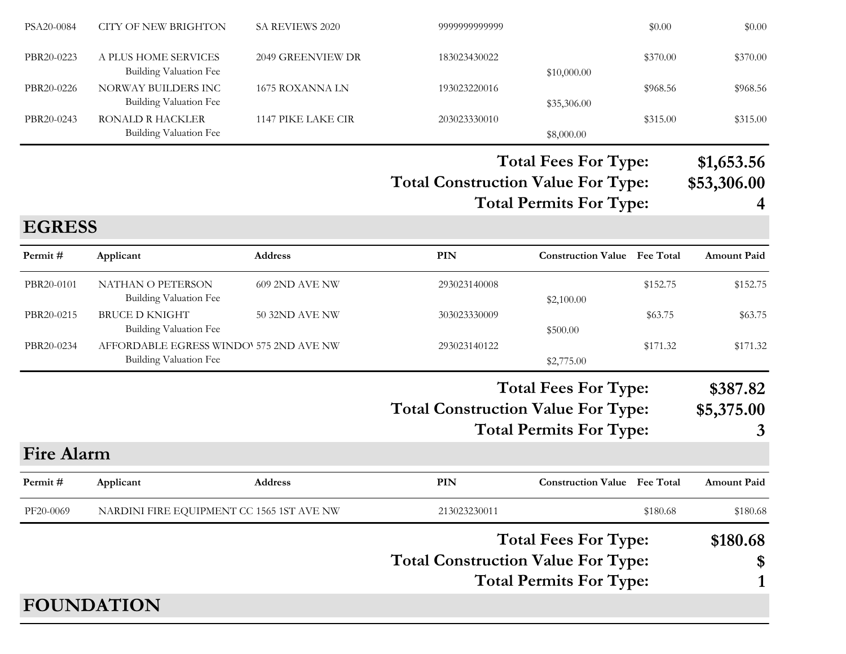| PSA20-0084        | <b>CITY OF NEW BRIGHTON</b>                                              | SA REVIEWS 2020       | 9999999999999                             |                                                               | \$0.00   | \$0.00                         |
|-------------------|--------------------------------------------------------------------------|-----------------------|-------------------------------------------|---------------------------------------------------------------|----------|--------------------------------|
| PBR20-0223        | A PLUS HOME SERVICES<br><b>Building Valuation Fee</b>                    | 2049 GREENVIEW DR     | 183023430022                              | \$10,000.00                                                   | \$370.00 | \$370.00                       |
| PBR20-0226        | NORWAY BUILDERS INC<br><b>Building Valuation Fee</b>                     | 1675 ROXANNA LN       | 193023220016                              | \$35,306.00                                                   | \$968.56 | \$968.56                       |
| PBR20-0243        | RONALD R HACKLER<br><b>Building Valuation Fee</b>                        | 1147 PIKE LAKE CIR    | 203023330010                              | \$8,000.00                                                    | \$315.00 | \$315.00                       |
|                   |                                                                          |                       | <b>Total Construction Value For Type:</b> | <b>Total Fees For Type:</b><br><b>Total Permits For Type:</b> |          | \$1,653.56<br>\$53,306.00<br>4 |
| <b>EGRESS</b>     |                                                                          |                       |                                           |                                                               |          |                                |
| Permit#           | Applicant                                                                | Address               | <b>PIN</b>                                | <b>Construction Value Fee Total</b>                           |          | <b>Amount Paid</b>             |
| PBR20-0101        | NATHAN O PETERSON<br><b>Building Valuation Fee</b>                       | 609 2ND AVE NW        | 293023140008                              | \$2,100.00                                                    | \$152.75 | \$152.75                       |
| PBR20-0215        | <b>BRUCE D KNIGHT</b><br><b>Building Valuation Fee</b>                   | <b>50 32ND AVE NW</b> | 303023330009                              | \$500.00                                                      | \$63.75  | \$63.75                        |
| PBR20-0234        | AFFORDABLE EGRESS WINDO' 575 2ND AVE NW<br><b>Building Valuation Fee</b> |                       | 293023140122                              | \$2,775.00                                                    | \$171.32 | \$171.32                       |
|                   |                                                                          |                       | <b>Total Construction Value For Type:</b> | <b>Total Fees For Type:</b><br><b>Total Permits For Type:</b> |          | \$387.82<br>\$5,375.00<br>3    |
| <b>Fire Alarm</b> |                                                                          |                       |                                           |                                                               |          |                                |
| Permit#           | Applicant                                                                | Address               | PIN                                       | <b>Construction Value</b> Fee Total                           |          | <b>Amount Paid</b>             |
| PF20-0069         | NARDINI FIRE EQUIPMENT CC 1565 1ST AVE NW                                |                       | 213023230011                              |                                                               | \$180.68 | \$180.68                       |
|                   |                                                                          |                       |                                           | <b>Total Fees For Type:</b>                                   |          | \$180.68                       |
|                   |                                                                          |                       | <b>Total Construction Value For Type:</b> |                                                               |          | \$                             |
|                   |                                                                          |                       |                                           | <b>Total Permits For Type:</b>                                |          | 1                              |
|                   | <b>FOUNDATION</b>                                                        |                       |                                           |                                                               |          |                                |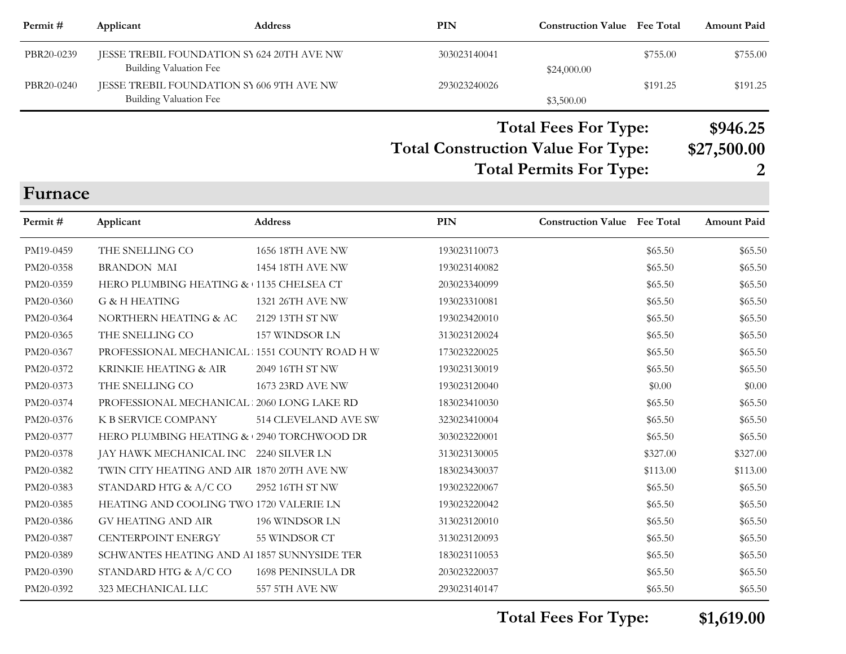| Permit#    | Applicant                                                            | <b>Address</b>          | <b>PIN</b>                                | <b>Construction Value Fee Total</b> |          | <b>Amount Paid</b> |
|------------|----------------------------------------------------------------------|-------------------------|-------------------------------------------|-------------------------------------|----------|--------------------|
| PBR20-0239 | JESSE TREBIL FOUNDATION SY 624 20TH AVE NW<br>Building Valuation Fee |                         | 303023140041                              | \$24,000.00                         | \$755.00 | \$755.00           |
| PBR20-0240 | JESSE TREBIL FOUNDATION SY 606 9TH AVE NW                            |                         | 293023240026                              |                                     | \$191.25 | \$191.25           |
|            | Building Valuation Fee                                               |                         |                                           | \$3,500.00                          |          |                    |
|            |                                                                      |                         |                                           | <b>Total Fees For Type:</b>         |          | \$946.25           |
|            |                                                                      |                         | <b>Total Construction Value For Type:</b> |                                     |          | \$27,500.00        |
|            |                                                                      |                         |                                           | <b>Total Permits For Type:</b>      |          |                    |
| Furnace    |                                                                      |                         |                                           |                                     |          |                    |
| Permit#    | Applicant                                                            | <b>Address</b>          | <b>PIN</b>                                | <b>Construction Value Fee Total</b> |          | <b>Amount Paid</b> |
| PM19-0459  | THE SNELLING CO                                                      | <b>1656 18TH AVE NW</b> | 193023110073                              |                                     | \$65.50  | \$65.50            |
| PM20-0358  | <b>BRANDON MAI</b>                                                   | 1454 18TH AVE NW        | 193023140082                              |                                     | \$65.50  | \$65.50            |
| PM20-0359  | HERO PLUMBING HEATING & 1135 CHELSEA CT                              |                         | 203023340099                              |                                     | \$65.50  | \$65.50            |
| PM20-0360  | G & H HEATING                                                        | 1321 26TH AVE NW        | 193023310081                              |                                     | \$65.50  | \$65.50            |
| PM20-0364  | NORTHERN HEATING & AC                                                | 2129 13TH ST NW         | 193023420010                              |                                     | \$65.50  | \$65.50            |
| PM20-0365  | THE SNELLING CO                                                      | 157 WINDSOR LN          | 313023120024                              |                                     | \$65.50  | \$65.50            |
| PM20-0367  | PROFESSIONAL MECHANICAL : 1551 COUNTY ROAD H W                       |                         | 173023220025                              |                                     | \$65.50  | \$65.50            |
| PM20-0372  | KRINKIE HEATING & AIR                                                | 2049 16TH ST NW         | 193023130019                              |                                     | \$65.50  | \$65.50            |
| PM20-0373  | THE SNELLING CO                                                      | 1673 23RD AVE NW        | 193023120040                              |                                     | \$0.00   | \$0.00             |
| PM20-0374  | PROFESSIONAL MECHANICAL : 2060 LONG LAKE RD                          |                         | 183023410030                              |                                     | \$65.50  | \$65.50            |
| PM20-0376  | K B SERVICE COMPANY                                                  | 514 CLEVELAND AVE SW    | 323023410004                              |                                     | \$65.50  | \$65.50            |
| PM20-0377  | HERO PLUMBING HEATING & 2940 TORCHWOOD DR                            |                         | 303023220001                              |                                     | \$65.50  | \$65.50            |
| PM20-0378  | JAY HAWK MECHANICAL INC 2240 SILVER LN                               |                         | 313023130005                              |                                     | \$327.00 | \$327.00           |
| PM20-0382  | TWIN CITY HEATING AND AIR 1870 20TH AVE NW                           |                         | 183023430037                              |                                     | \$113.00 | \$113.00           |
| PM20-0383  | STANDARD HTG & A/C CO                                                | 2952 16TH ST NW         | 193023220067                              |                                     | \$65.50  | \$65.50            |
| PM20-0385  | HEATING AND COOLING TWO 1720 VALERIE LN                              |                         | 193023220042                              |                                     | \$65.50  | \$65.50            |
| PM20-0386  | <b>GV HEATING AND AIR</b>                                            | 196 WINDSOR LN          | 313023120010                              |                                     | \$65.50  | \$65.50            |
| PM20-0387  | <b>CENTERPOINT ENERGY</b>                                            | 55 WINDSOR CT           | 313023120093                              |                                     | \$65.50  | \$65.50            |
| PM20-0389  | SCHWANTES HEATING AND Al 1857 SUNNYSIDE TER                          |                         | 183023110053                              |                                     | \$65.50  | \$65.50            |
| PM20-0390  | STANDARD HTG $\&$ A/C CO                                             | 1698 PENINSULA DR       | 203023220037                              |                                     | \$65.50  | \$65.50            |
| PM20-0392  | 323 MECHANICAL LLC                                                   | 557 5TH AVE NW          | 293023140147                              |                                     | \$65.50  | \$65.50            |

**Total Fees For Type: \$1,619.00**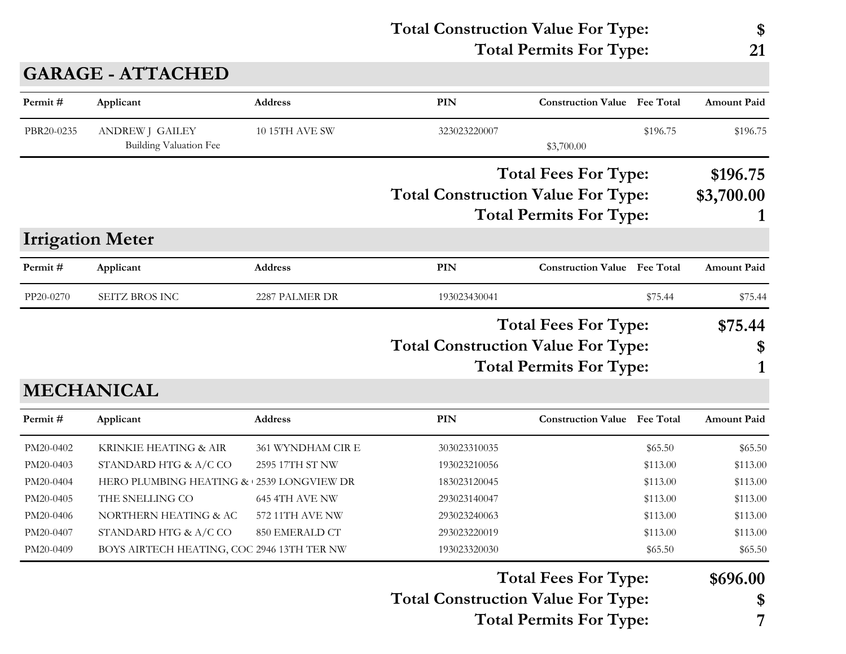| <b>Total Construction Value For Type:</b> | \$ |
|-------------------------------------------|----|
| <b>Total Permits For Type:</b>            | 21 |
|                                           |    |

## **GARAGE - ATTACHED**

| Permit#    | Applicant                                        | <b>Address</b>        | <b>PIN</b>                                | <b>Construction Value</b> Fee Total |          | <b>Amount Paid</b>     |
|------------|--------------------------------------------------|-----------------------|-------------------------------------------|-------------------------------------|----------|------------------------|
| PBR20-0235 | <b>ANDREW J GAILEY</b><br>Building Valuation Fee | <b>10 15TH AVE SW</b> | 323023220007                              | \$3,700.00                          | \$196.75 | \$196.75               |
|            |                                                  |                       | <b>Total Construction Value For Type:</b> | <b>Total Fees For Type:</b>         |          | \$196.75<br>\$3,700.00 |
|            |                                                  |                       |                                           | <b>Total Permits For Type:</b>      |          |                        |
|            | <b>Irrigation Meter</b>                          |                       |                                           |                                     |          |                        |
| Permit#    | Applicant                                        | <b>Address</b>        | PIN                                       | <b>Construction Value</b> Fee Total |          | <b>Amount Paid</b>     |
| PP20-0270  | SEITZ BROS INC                                   | 2287 PALMER DR        | 193023430041                              |                                     | \$75.44  | \$75.44                |
|            |                                                  |                       |                                           | <b>Total Fees For Type:</b>         |          | \$75.44                |
|            |                                                  |                       | <b>Total Construction Value For Type:</b> |                                     |          | \$                     |
|            |                                                  |                       |                                           | <b>Total Permits For Type:</b>      |          |                        |
|            | <b>MECHANICAL</b>                                |                       |                                           |                                     |          |                        |
| Permit#    | Applicant                                        | <b>Address</b>        | <b>PIN</b>                                | <b>Construction Value Fee Total</b> |          | <b>Amount Paid</b>     |
| PM20-0402  | KRINKIE HEATING & AIR                            | 361 WYNDHAM CIR E     | 303023310035                              |                                     | \$65.50  | \$65.50                |
| PM20-0403  | STANDARD HTG & A/C CO                            | 2595 17TH ST NW       | 193023210056                              |                                     | \$113.00 | \$113.00               |
| PM20-0404  | HERO PLUMBING HEATING & 2539 LONGVIEW DR         |                       | 183023120045                              |                                     | \$113.00 | \$113.00               |
| PM20-0405  | THE SNELLING CO                                  | 645 4TH AVE NW        | 293023140047                              |                                     | \$113.00 | \$113.00               |
| PM20-0406  | NORTHERN HEATING & AC                            | 572 11TH AVE NW       | 293023240063                              |                                     | \$113.00 | \$113.00               |
| PM20-0407  | STANDARD HTG & A/C CO                            | 850 EMERALD CT        | 293023220019                              |                                     | \$113.00 | \$113.00               |
| PM20-0409  | BOYS AIRTECH HEATING, COC 2946 13TH TER NW       |                       | 193023320030                              |                                     | \$65.50  | \$65.50                |
|            |                                                  |                       |                                           | <b>Total Fees For Type:</b>         |          | \$696.00               |
|            |                                                  |                       | <b>Total Construction Value For Type:</b> |                                     |          | \$                     |
|            |                                                  |                       |                                           | <b>Total Permits For Type:</b>      |          | 7                      |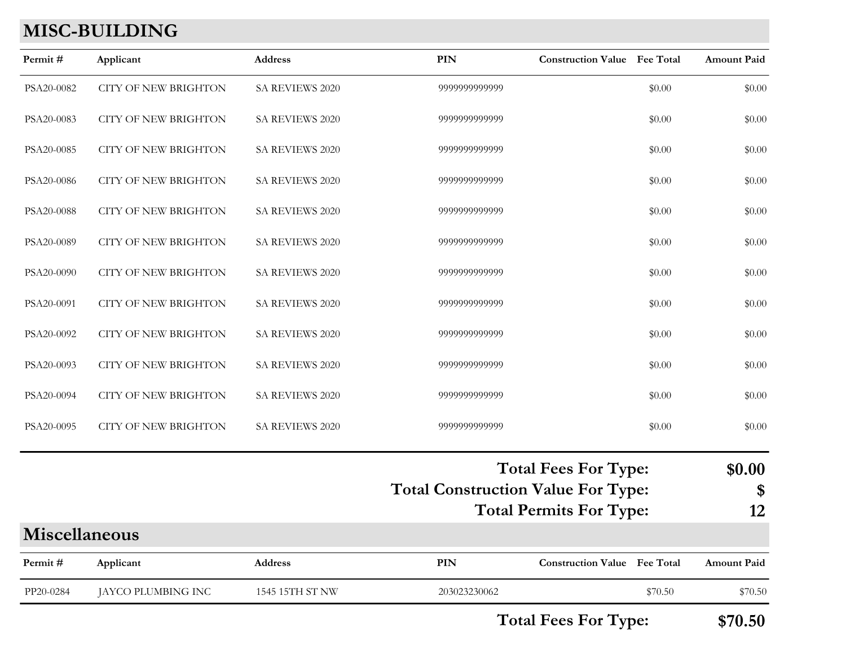## **MISC-BUILDING**

| Permit#              | Applicant                   | <b>Address</b>  | PIN                                       | <b>Construction Value Fee Total</b> |         | Amount Paid                 |
|----------------------|-----------------------------|-----------------|-------------------------------------------|-------------------------------------|---------|-----------------------------|
| PSA20-0082           | <b>CITY OF NEW BRIGHTON</b> | SA REVIEWS 2020 | 9999999999999                             |                                     | \$0.00  | \$0.00                      |
| PSA20-0083           | <b>CITY OF NEW BRIGHTON</b> | SA REVIEWS 2020 | 9999999999999                             |                                     | \$0.00  | \$0.00                      |
| PSA20-0085           | <b>CITY OF NEW BRIGHTON</b> | SA REVIEWS 2020 | 9999999999999                             |                                     | \$0.00  | \$0.00                      |
| PSA20-0086           | <b>CITY OF NEW BRIGHTON</b> | SA REVIEWS 2020 | 9999999999999                             |                                     | \$0.00  | \$0.00                      |
| PSA20-0088           | <b>CITY OF NEW BRIGHTON</b> | SA REVIEWS 2020 | 9999999999999                             |                                     | \$0.00  | \$0.00                      |
| PSA20-0089           | <b>CITY OF NEW BRIGHTON</b> | SA REVIEWS 2020 | 9999999999999                             |                                     | \$0.00  | \$0.00                      |
| PSA20-0090           | CITY OF NEW BRIGHTON        | SA REVIEWS 2020 | 9999999999999                             |                                     | \$0.00  | \$0.00                      |
| PSA20-0091           | <b>CITY OF NEW BRIGHTON</b> | SA REVIEWS 2020 | 9999999999999                             |                                     | \$0.00  | \$0.00                      |
| PSA20-0092           | <b>CITY OF NEW BRIGHTON</b> | SA REVIEWS 2020 | 9999999999999                             |                                     | \$0.00  | \$0.00                      |
| PSA20-0093           | <b>CITY OF NEW BRIGHTON</b> | SA REVIEWS 2020 | 9999999999999                             |                                     | \$0.00  | \$0.00                      |
| PSA20-0094           | <b>CITY OF NEW BRIGHTON</b> | SA REVIEWS 2020 | 9999999999999                             |                                     | \$0.00  | \$0.00                      |
| PSA20-0095           | CITY OF NEW BRIGHTON        | SA REVIEWS 2020 | 9999999999999                             |                                     | \$0.00  | \$0.00                      |
|                      |                             |                 | <b>Total Construction Value For Type:</b> | <b>Total Fees For Type:</b>         |         | \$0.00<br>$\boldsymbol{\$}$ |
|                      |                             |                 |                                           | <b>Total Permits For Type:</b>      |         | 12                          |
| <b>Miscellaneous</b> |                             |                 |                                           |                                     |         |                             |
| Permit#              | Applicant                   | Address         | PIN                                       | <b>Construction Value Fee Total</b> |         | <b>Amount Paid</b>          |
| PP20-0284            | JAYCO PLUMBING INC          | 1545 15TH ST NW | 203023230062                              |                                     | \$70.50 | \$70.50                     |
|                      |                             |                 |                                           |                                     |         |                             |

**Total Fees For Type: \$70.50**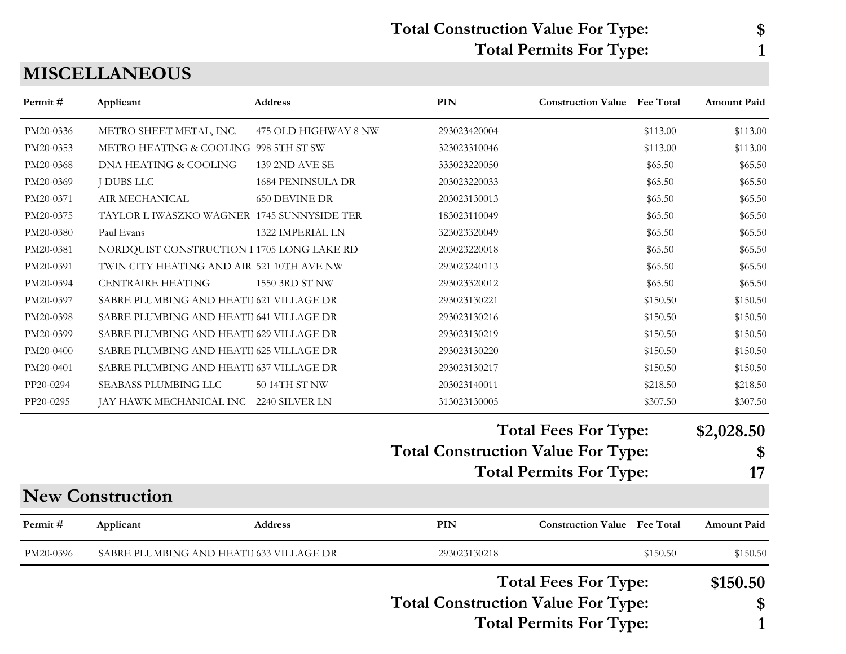#### **Total Construction Value For Type: \$ Total Permits For Type: 1**

#### **MISCELLANEOUS**

| Permit#   | Applicant                                  | <b>Address</b>           | PIN                                       | <b>Construction Value</b> Fee Total |          | <b>Amount Paid</b> |
|-----------|--------------------------------------------|--------------------------|-------------------------------------------|-------------------------------------|----------|--------------------|
| PM20-0336 | METRO SHEET METAL, INC.                    | 475 OLD HIGHWAY 8 NW     | 293023420004                              |                                     | \$113.00 | \$113.00           |
| PM20-0353 | METRO HEATING & COOLING 998 5TH ST SW      |                          | 323023310046                              |                                     | \$113.00 | \$113.00           |
| PM20-0368 | DNA HEATING & COOLING                      | 139 2ND AVE SE           | 333023220050                              |                                     | \$65.50  | \$65.50            |
| PM20-0369 | <b>J DUBS LLC</b>                          | <b>1684 PENINSULA DR</b> | 203023220033                              |                                     | \$65.50  | \$65.50            |
| PM20-0371 | AIR MECHANICAL                             | <b>650 DEVINE DR</b>     | 203023130013                              |                                     | \$65.50  | \$65.50            |
| PM20-0375 | TAYLOR L IWASZKO WAGNER 1745 SUNNYSIDE TER |                          | 183023110049                              |                                     | \$65.50  | \$65.50            |
| PM20-0380 | Paul Evans                                 | 1322 IMPERIAL LN         | 323023320049                              |                                     | \$65.50  | \$65.50            |
| PM20-0381 | NORDQUIST CONSTRUCTION I 1705 LONG LAKE RD |                          | 203023220018                              |                                     | \$65.50  | \$65.50            |
| PM20-0391 | TWIN CITY HEATING AND AIR 521 10TH AVE NW  |                          | 293023240113                              |                                     | \$65.50  | \$65.50            |
| PM20-0394 | <b>CENTRAIRE HEATING</b>                   | 1550 3RD ST NW           | 293023320012                              |                                     | \$65.50  | \$65.50            |
| PM20-0397 | SABRE PLUMBING AND HEATII 621 VILLAGE DR   |                          | 293023130221                              |                                     | \$150.50 | \$150.50           |
| PM20-0398 | SABRE PLUMBING AND HEATII 641 VILLAGE DR   |                          | 293023130216                              |                                     | \$150.50 | \$150.50           |
| PM20-0399 | SABRE PLUMBING AND HEATI 629 VILLAGE DR    |                          | 293023130219                              |                                     | \$150.50 | \$150.50           |
| PM20-0400 | SABRE PLUMBING AND HEATII 625 VILLAGE DR   |                          | 293023130220                              |                                     | \$150.50 | \$150.50           |
| PM20-0401 | SABRE PLUMBING AND HEATII 637 VILLAGE DR   |                          | 293023130217                              |                                     | \$150.50 | \$150.50           |
| PP20-0294 | SEABASS PLUMBING LLC                       | 50 14TH ST NW            | 203023140011                              |                                     | \$218.50 | \$218.50           |
| PP20-0295 | JAY HAWK MECHANICAL INC 2240 SILVER LN     |                          | 313023130005                              |                                     | \$307.50 | \$307.50           |
|           |                                            |                          |                                           | <b>Total Fees For Type:</b>         |          | \$2,028.50         |
|           |                                            |                          | <b>Total Construction Value For Type:</b> |                                     |          | \$                 |
|           |                                            |                          |                                           | <b>Total Permits For Type:</b>      |          | 17                 |
|           | <b>New Construction</b>                    |                          |                                           |                                     |          |                    |
| Permit#   | Applicant                                  | Address                  | PIN                                       | <b>Construction Value Fee Total</b> |          | <b>Amount Paid</b> |
| PM20-0396 | SABRE PLUMBING AND HEATI 633 VILLAGE DR    |                          | 293023130218                              |                                     | \$150.50 | \$150.50           |
|           |                                            |                          |                                           | <b>Total Fees For Type:</b>         |          | \$150.50           |
|           |                                            |                          | <b>Total Construction Value For Type:</b> |                                     |          | \$                 |
|           |                                            |                          |                                           | <b>Total Permits For Type:</b>      |          |                    |
|           |                                            |                          |                                           |                                     |          | 1                  |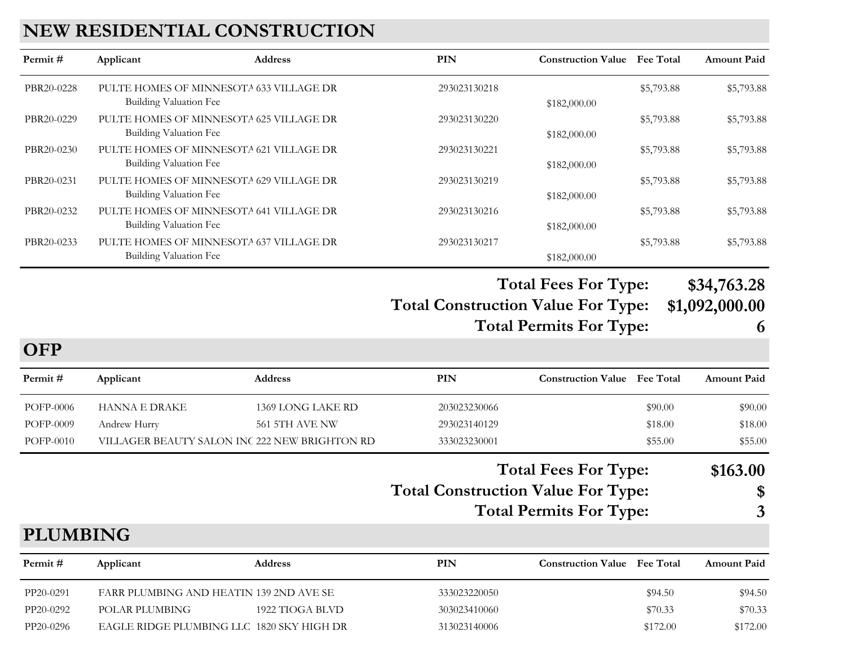#### **NEW RESIDENTIAL CONSTRUCTION**

| Permit #   | Applicant                                                                | <b>Address</b> | PIN          | <b>Construction Value</b> Fee Total |            | <b>Amount Paid</b> |
|------------|--------------------------------------------------------------------------|----------------|--------------|-------------------------------------|------------|--------------------|
| PBR20-0228 | PULTE HOMES OF MINNESOTA 633 VILLAGE DR<br>Building Valuation Fee        |                | 293023130218 | \$182,000.00                        | \$5,793.88 | \$5,793.88         |
| PBR20-0229 | PULTE HOMES OF MINNESOTA 625 VILLAGE DR<br>Building Valuation Fee        |                | 293023130220 | \$182,000.00                        | \$5,793.88 | \$5,793.88         |
| PBR20-0230 | PULTE HOMES OF MINNESOTA 621 VILLAGE DR<br>Building Valuation Fee        |                | 293023130221 | \$182,000.00                        | \$5,793.88 | \$5,793.88         |
| PBR20-0231 | PULTE HOMES OF MINNESOTA 629 VILLAGE DR<br>Building Valuation Fee        |                | 293023130219 | \$182,000.00                        | \$5,793.88 | \$5,793.88         |
| PBR20-0232 | PULTE HOMES OF MINNESOTA 641 VILLAGE DR<br>Building Valuation Fee        |                | 293023130216 | \$182,000.00                        | \$5,793.88 | \$5,793.88         |
| PBR20-0233 | PULTE HOMES OF MINNESOTA 637 VILLAGE DR<br><b>Building Valuation Fee</b> |                | 293023130217 | \$182,000.00                        | \$5,793.88 | \$5,793.88         |

#### **Total Construction Value For Type: \$1,092,000.00 Total Fees For Type: \$34,763.28**

**Total Permits For Type: 6**

**OFP**

| Permit #        | Applicant                                     | <b>Address</b>        | <b>PIN</b>                                | <b>Construction Value</b> Fee Total                           |                  | <b>Amount Paid</b>  |
|-----------------|-----------------------------------------------|-----------------------|-------------------------------------------|---------------------------------------------------------------|------------------|---------------------|
| POFP-0006       | <b>HANNA E DRAKE</b>                          | 1369 LONG LAKE RD     | 203023230066                              |                                                               | \$90.00          | \$90.00             |
| POFP-0009       | Andrew Hurry                                  | <b>561 5TH AVE NW</b> | 293023140129                              |                                                               | \$18.00          | \$18.00             |
| POFP-0010       | VILLAGER BEAUTY SALON INC 222 NEW BRIGHTON RD |                       | 333023230001                              |                                                               | \$55.00          | \$55.00             |
|                 |                                               |                       | <b>Total Construction Value For Type:</b> | <b>Total Fees For Type:</b><br><b>Total Permits For Type:</b> |                  | \$163.00<br>\$<br>3 |
| <b>PLUMBING</b> |                                               |                       |                                           |                                                               |                  |                     |
| Permit#         | Applicant                                     | <b>Address</b>        | <b>PIN</b>                                | <b>Construction Value</b>                                     | <b>Fee Total</b> | <b>Amount Paid</b>  |

| PP20-0291 | FARR PLUMBING AND HEATIN 139 2ND AVE SE   |                 | 333023220050 | \$94.50  | \$94.50  |
|-----------|-------------------------------------------|-----------------|--------------|----------|----------|
| PP20-0292 | POLAR PLUMBING                            | 1922 TIOGA BLVD | 303023410060 | \$70.33  | \$70.33  |
| PP20-0296 | EAGLE RIDGE PLUMBING LLC 1820 SKY HIGH DR |                 | 313023140006 | \$172.00 | \$172.00 |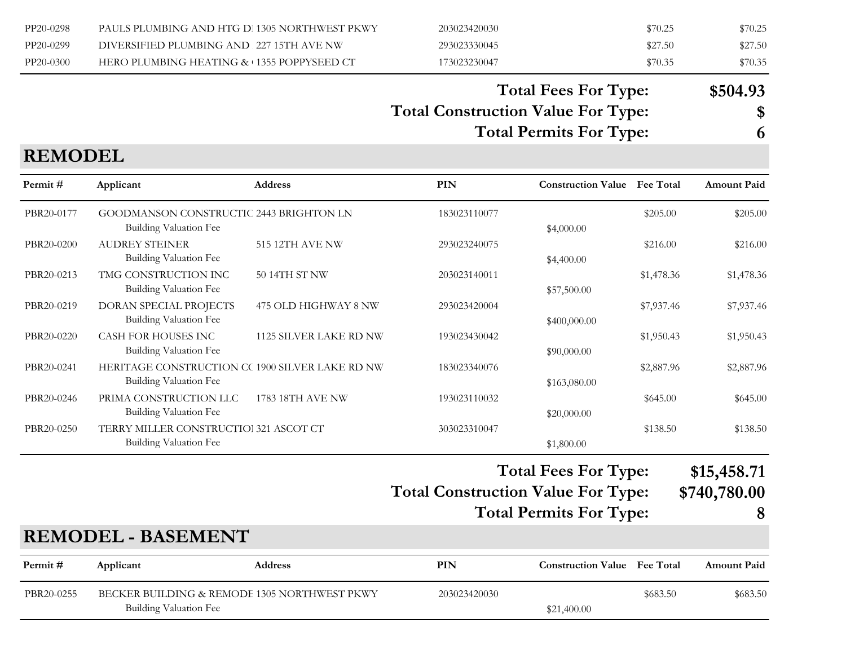| PP20-0298 | PAULS PLUMBING AND HTG D 1305 NORTHWEST PKWY | 203023420030 | \$70.25 | \$70.25 |
|-----------|----------------------------------------------|--------------|---------|---------|
| PP20-0299 | DIVERSIFIED PLUMBING AND 227 15TH AVE NW     | 293023330045 | \$27.50 | \$27.50 |
| PP20-0300 | HERO PLUMBING HEATING & 1355 POPPYSEED CT    | 173023230047 | \$70.35 | \$70.35 |

#### **Total Construction Value For Type: \$ Total Fees For Type: \$504.93**

**Total Permits For Type: 6**

| \$ |
|----|
|    |

#### **REMODEL**

| Permit#                    | Applicant                                                                        | <b>Address</b>                           | PIN                                       | <b>Construction Value</b>                                     | <b>Fee Total</b> | <b>Amount Paid</b>               |
|----------------------------|----------------------------------------------------------------------------------|------------------------------------------|-------------------------------------------|---------------------------------------------------------------|------------------|----------------------------------|
| PBR20-0177                 | GOODMANSON CONSTRUCTIC 2443 BRIGHTON LN<br><b>Building Valuation Fee</b>         |                                          | 183023110077                              | \$4,000.00                                                    | \$205.00         | \$205.00                         |
| PBR20-0200                 | <b>AUDREY STEINER</b><br>Building Valuation Fee                                  | <b>515 12TH AVE NW</b>                   | 293023240075                              | \$4,400.00                                                    | \$216.00         | \$216.00                         |
| PBR20-0213                 | TMG CONSTRUCTION INC<br>Building Valuation Fee                                   | 50 14TH ST NW                            | 203023140011                              | \$57,500.00                                                   | \$1,478.36       | \$1,478.36                       |
| PBR20-0219                 | DORAN SPECIAL PROJECTS<br><b>Building Valuation Fee</b>                          | 475 OLD HIGHWAY 8 NW                     | 293023420004                              | \$400,000.00                                                  | \$7,937.46       | \$7,937.46                       |
| PBR20-0220                 | <b>CASH FOR HOUSES INC</b><br><b>Building Valuation Fee</b>                      | 1125 SILVER LAKE RD NW                   | 193023430042                              | \$90,000.00                                                   | \$1,950.43       | \$1,950.43                       |
| PBR20-0241                 | HERITAGE CONSTRUCTION CC 1900 SILVER LAKE RD NW<br><b>Building Valuation Fee</b> |                                          | 183023340076                              | \$163,080.00                                                  | \$2,887.96       | \$2,887.96                       |
| PBR20-0246                 | PRIMA CONSTRUCTION LLC<br><b>Building Valuation Fee</b>                          | 1783 18TH AVE NW                         | 193023110032                              | \$20,000.00                                                   | \$645.00         | \$645.00                         |
| PBR20-0250                 | TERRY MILLER CONSTRUCTIO! 321 ASCOT CT<br>Building Valuation Fee                 |                                          | 303023310047                              | \$1,800.00                                                    | \$138.50         | \$138.50                         |
|                            |                                                                                  |                                          | <b>Total Construction Value For Type:</b> | <b>Total Fees For Type:</b><br><b>Total Permits For Type:</b> |                  | \$15,458.71<br>\$740,780.00<br>8 |
|                            | <b>REMODEL - BASEMENT</b>                                                        |                                          |                                           |                                                               |                  |                                  |
| $D_{\text{const}}$ : $\pm$ | $A = 1:2 \cdot 1$                                                                | $\Delta$ $\Delta$ $\Delta$ $\sim$ $\sim$ | DINT                                      | Construction Value Ess Total                                  |                  | $A$ and $A$                      |

| Permit #   | Applicant              | Address                                      | PIN          | <b>Construction Value</b> Fee Total |          | <b>Amount Paid</b> |
|------------|------------------------|----------------------------------------------|--------------|-------------------------------------|----------|--------------------|
| PBR20-0255 |                        | BECKER BUILDING & REMODE 1305 NORTHWEST PKWY | 203023420030 |                                     | \$683.50 | \$683.50           |
|            | Building Valuation Fee |                                              |              | \$21,400.00                         |          |                    |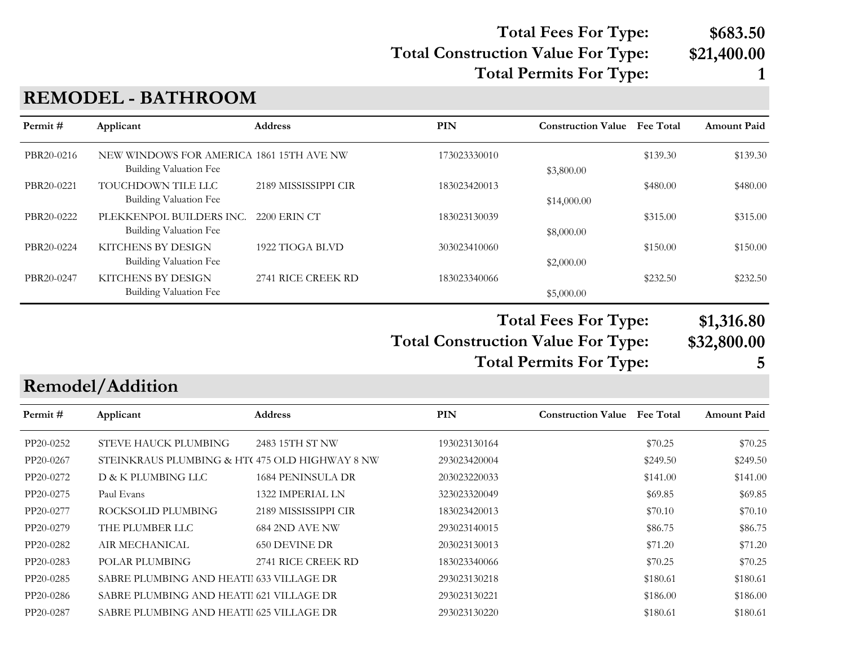#### **Total Construction Value For Type: \$21,400.00 Total Fees For Type: \$683.50 Total Permits For Type: 1**

#### **REMODEL - BATHROOM**

| Permit#    | Applicant                                                                 | <b>Address</b>       | PIN          | <b>Construction Value</b> | <b>Fee Total</b> | <b>Amount Paid</b> |
|------------|---------------------------------------------------------------------------|----------------------|--------------|---------------------------|------------------|--------------------|
| PBR20-0216 | NEW WINDOWS FOR AMERICA 1861 15TH AVE NW<br><b>Building Valuation Fee</b> |                      | 173023330010 | \$3,800.00                | \$139.30         | \$139.30           |
| PBR20-0221 | TOUCHDOWN TILE LLC<br><b>Building Valuation Fee</b>                       | 2189 MISSISSIPPI CIR | 183023420013 | \$14,000.00               | \$480.00         | \$480.00           |
| PBR20-0222 | PLEKKENPOL BUILDERS INC.<br><b>Building Valuation Fee</b>                 | 2200 ERIN CT         | 183023130039 | \$8,000.00                | \$315.00         | \$315.00           |
| PBR20-0224 | KITCHENS BY DESIGN<br>Building Valuation Fee                              | 1922 TIOGA BLVD      | 303023410060 | \$2,000.00                | \$150.00         | \$150.00           |
| PBR20-0247 | <b>KITCHENS BY DESIGN</b><br><b>Building Valuation Fee</b>                | 2741 RICE CREEK RD   | 183023340066 | \$5,000.00                | \$232.50         | \$232.50           |

**Total Construction Value For Type: \$32,800.00 Total Fees For Type: \$1,316.80 Total Permits For Type: 5**

## **Remodel/Addition**

| Permit #  | Applicant                                     | <b>Address</b>       | PIN          | <b>Construction Value</b> | <b>Fee Total</b> | <b>Amount Paid</b> |
|-----------|-----------------------------------------------|----------------------|--------------|---------------------------|------------------|--------------------|
| PP20-0252 | STEVE HAUCK PLUMBING                          | 2483 15TH ST NW      | 193023130164 |                           | \$70.25          | \$70.25            |
| PP20-0267 | STEINKRAUS PLUMBING & HTC475 OLD HIGHWAY 8 NW |                      | 293023420004 |                           | \$249.50         | \$249.50           |
| PP20-0272 | D & K PLUMBING LLC                            | 1684 PENINSULA DR    | 203023220033 |                           | \$141.00         | \$141.00           |
| PP20-0275 | Paul Evans                                    | 1322 IMPERIAL LN     | 323023320049 |                           | \$69.85          | \$69.85            |
| PP20-0277 | ROCKSOLID PLUMBING                            | 2189 MISSISSIPPI CIR | 183023420013 |                           | \$70.10          | \$70.10            |
| PP20-0279 | THE PLUMBER LLC                               | 684 2ND AVE NW       | 293023140015 |                           | \$86.75          | \$86.75            |
| PP20-0282 | AIR MECHANICAL                                | <b>650 DEVINE DR</b> | 203023130013 |                           | \$71.20          | \$71.20            |
| PP20-0283 | POLAR PLUMBING                                | 2741 RICE CREEK RD   | 183023340066 |                           | \$70.25          | \$70.25            |
| PP20-0285 | SABRE PLUMBING AND HEATH 633 VILLAGE DR       |                      | 293023130218 |                           | \$180.61         | \$180.61           |
| PP20-0286 | SABRE PLUMBING AND HEATH 621 VILLAGE DR       |                      | 293023130221 |                           | \$186.00         | \$186.00           |
| PP20-0287 | SABRE PLUMBING AND HEATH 625 VILLAGE DR       |                      | 293023130220 |                           | \$180.61         | \$180.61           |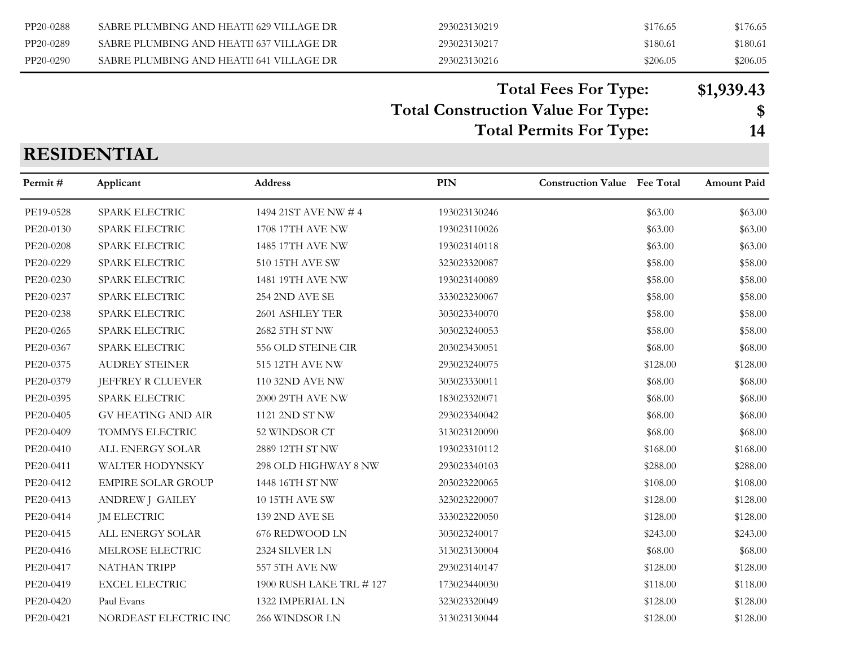| PP20-0288 | SABRE PLUMBING AND HEATH 629 VILLAGE DR | 293023130219 | \$176.65 | \$176.65 |
|-----------|-----------------------------------------|--------------|----------|----------|
| PP20-0289 | SABRE PLUMBING AND HEATH 637 VILLAGE DR | 293023130217 | \$180.61 | \$180.61 |
| PP20-0290 | SABRE PLUMBING AND HEATIL641 VILLAGE DR | 293023130216 | \$206.05 | \$206.05 |

#### **Total Fees For Type: \$1,939.43**

**Total Construction Value For Type: \$**

**Total Permits For Type: 14**

#### **RESIDENTIAL**

| Permit #  | Applicant                 | Address                 | PIN          | <b>Construction Value</b> Fee Total |          | <b>Amount Paid</b> |
|-----------|---------------------------|-------------------------|--------------|-------------------------------------|----------|--------------------|
| PE19-0528 | SPARK ELECTRIC            | 1494 21ST AVE NW # 4    | 193023130246 |                                     | \$63.00  | \$63.00            |
| PE20-0130 | SPARK ELECTRIC            | 1708 17TH AVE NW        | 193023110026 |                                     | \$63.00  | \$63.00            |
| PE20-0208 | SPARK ELECTRIC            | 1485 17TH AVE NW        | 193023140118 |                                     | \$63.00  | \$63.00            |
| PE20-0229 | SPARK ELECTRIC            | 510 15TH AVE SW         | 323023320087 |                                     | \$58.00  | \$58.00            |
| PE20-0230 | SPARK ELECTRIC            | 1481 19TH AVE NW        | 193023140089 |                                     | \$58.00  | \$58.00            |
| PE20-0237 | SPARK ELECTRIC            | 254 2ND AVE SE          | 333023230067 |                                     | \$58.00  | \$58.00            |
| PE20-0238 | SPARK ELECTRIC            | 2601 ASHLEY TER         | 303023340070 |                                     | \$58.00  | \$58.00            |
| PE20-0265 | SPARK ELECTRIC            | 2682 5TH ST NW          | 303023240053 |                                     | \$58.00  | \$58.00            |
| PE20-0367 | SPARK ELECTRIC            | 556 OLD STEINE CIR      | 203023430051 |                                     | \$68.00  | \$68.00            |
| PE20-0375 | <b>AUDREY STEINER</b>     | 515 12TH AVE NW         | 293023240075 |                                     | \$128.00 | \$128.00           |
| PE20-0379 | JEFFREY R CLUEVER         | 110 32ND AVE NW         | 303023330011 |                                     | \$68.00  | \$68.00            |
| PE20-0395 | SPARK ELECTRIC            | 2000 29TH AVE NW        | 183023320071 |                                     | \$68.00  | \$68.00            |
| PE20-0405 | <b>GV HEATING AND AIR</b> | 1121 2ND ST NW          | 293023340042 |                                     | \$68.00  | \$68.00            |
| PE20-0409 | TOMMYS ELECTRIC           | 52 WINDSOR CT           | 313023120090 |                                     | \$68.00  | \$68.00            |
| PE20-0410 | ALL ENERGY SOLAR          | 2889 12TH ST NW         | 193023310112 |                                     | \$168.00 | \$168.00           |
| PE20-0411 | <b>WALTER HODYNSKY</b>    | 298 OLD HIGHWAY 8 NW    | 293023340103 |                                     | \$288.00 | \$288.00           |
| PE20-0412 | <b>EMPIRE SOLAR GROUP</b> | 1448 16TH ST NW         | 203023220065 |                                     | \$108.00 | \$108.00           |
| PE20-0413 | <b>ANDREW J GAILEY</b>    | <b>10 15TH AVE SW</b>   | 323023220007 |                                     | \$128.00 | \$128.00           |
| PE20-0414 | <b>JM ELECTRIC</b>        | <b>139 2ND AVE SE</b>   | 333023220050 |                                     | \$128.00 | \$128.00           |
| PE20-0415 | ALL ENERGY SOLAR          | 676 REDWOOD LN          | 303023240017 |                                     | \$243.00 | \$243.00           |
| PE20-0416 | MELROSE ELECTRIC          | 2324 SILVER LN          | 313023130004 |                                     | \$68.00  | \$68.00            |
| PE20-0417 | <b>NATHAN TRIPP</b>       | 557 5TH AVE NW          | 293023140147 |                                     | \$128.00 | \$128.00           |
| PE20-0419 | <b>EXCEL ELECTRIC</b>     | 1900 RUSH LAKE TRL #127 | 173023440030 |                                     | \$118.00 | \$118.00           |
| PE20-0420 | Paul Evans                | 1322 IMPERIAL LN        | 323023320049 |                                     | \$128.00 | \$128.00           |
| PE20-0421 | NORDEAST ELECTRIC INC     | 266 WINDSOR LN          | 313023130044 |                                     | \$128.00 | \$128.00           |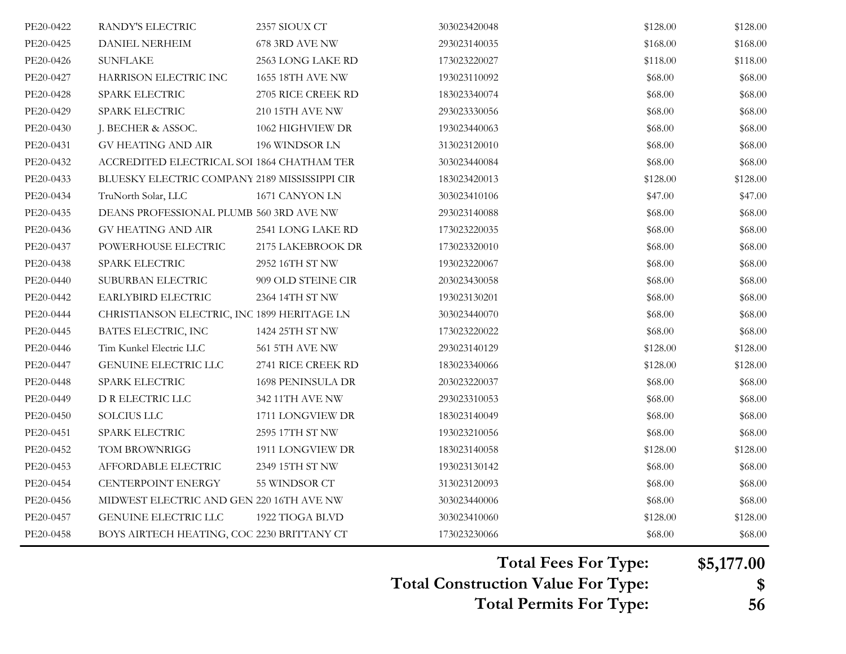| PE20-0422 | RANDY'S ELECTRIC                              | 2357 SIOUX CT         | 303023420048 | \$128.00 | \$128.00 |
|-----------|-----------------------------------------------|-----------------------|--------------|----------|----------|
| PE20-0425 | <b>DANIEL NERHEIM</b>                         | 678 3RD AVE NW        | 293023140035 | \$168.00 | \$168.00 |
| PE20-0426 | <b>SUNFLAKE</b>                               | 2563 LONG LAKE RD     | 173023220027 | \$118.00 | \$118.00 |
| PE20-0427 | HARRISON ELECTRIC INC                         | 1655 18TH AVE NW      | 193023110092 | \$68.00  | \$68.00  |
| PE20-0428 | SPARK ELECTRIC                                | 2705 RICE CREEK RD    | 183023340074 | \$68.00  | \$68.00  |
| PE20-0429 | SPARK ELECTRIC                                | 210 15TH AVE NW       | 293023330056 | \$68.00  | \$68.00  |
| PE20-0430 | J. BECHER & ASSOC.                            | 1062 HIGHVIEW DR      | 193023440063 | \$68.00  | \$68.00  |
| PE20-0431 | <b>GV HEATING AND AIR</b>                     | 196 WINDSOR LN        | 313023120010 | \$68.00  | \$68.00  |
| PE20-0432 | ACCREDITED ELECTRICAL SOI 1864 CHATHAM TER    |                       | 303023440084 | \$68.00  | \$68.00  |
| PE20-0433 | BLUESKY ELECTRIC COMPANY 2189 MISSISSIPPI CIR |                       | 183023420013 | \$128.00 | \$128.00 |
| PE20-0434 | TruNorth Solar, LLC                           | 1671 CANYON LN        | 303023410106 | \$47.00  | \$47.00  |
| PE20-0435 | DEANS PROFESSIONAL PLUMB 560 3RD AVE NW       |                       | 293023140088 | \$68.00  | \$68.00  |
| PE20-0436 | GV HEATING AND AIR                            | 2541 LONG LAKE RD     | 173023220035 | \$68.00  | \$68.00  |
| PE20-0437 | POWERHOUSE ELECTRIC                           | 2175 LAKEBROOK DR     | 173023320010 | \$68.00  | \$68.00  |
| PE20-0438 | SPARK ELECTRIC                                | 2952 16TH ST NW       | 193023220067 | \$68.00  | \$68.00  |
| PE20-0440 | SUBURBAN ELECTRIC                             | 909 OLD STEINE CIR    | 203023430058 | \$68.00  | \$68.00  |
| PE20-0442 | EARLYBIRD ELECTRIC                            | 2364 14TH ST NW       | 193023130201 | \$68.00  | \$68.00  |
| PE20-0444 | CHRISTIANSON ELECTRIC, INC 1899 HERITAGE LN   |                       | 303023440070 | \$68.00  | \$68.00  |
| PE20-0445 | BATES ELECTRIC, INC                           | 1424 25TH ST NW       | 173023220022 | \$68.00  | \$68.00  |
| PE20-0446 | Tim Kunkel Electric LLC                       | <b>561 5TH AVE NW</b> | 293023140129 | \$128.00 | \$128.00 |
| PE20-0447 | GENUINE ELECTRIC LLC                          | 2741 RICE CREEK RD    | 183023340066 | \$128.00 | \$128.00 |
| PE20-0448 | SPARK ELECTRIC                                | 1698 PENINSULA DR     | 203023220037 | \$68.00  | \$68.00  |
| PE20-0449 | D R ELECTRIC LLC                              | 342 11TH AVE NW       | 293023310053 | \$68.00  | \$68.00  |
| PE20-0450 | SOLCIUS LLC                                   | 1711 LONGVIEW DR      | 183023140049 | \$68.00  | \$68.00  |
| PE20-0451 | SPARK ELECTRIC                                | 2595 17TH ST NW       | 193023210056 | \$68.00  | \$68.00  |
| PE20-0452 | TOM BROWNRIGG                                 | 1911 LONGVIEW DR      | 183023140058 | \$128.00 | \$128.00 |
| PE20-0453 | AFFORDABLE ELECTRIC                           | 2349 15TH ST NW       | 193023130142 | \$68.00  | \$68.00  |
| PE20-0454 | CENTERPOINT ENERGY                            | 55 WINDSOR CT         | 313023120093 | \$68.00  | \$68.00  |
| PE20-0456 | MIDWEST ELECTRIC AND GEN 220 16TH AVE NW      |                       | 303023440006 | \$68.00  | \$68.00  |
| PE20-0457 | GENUINE ELECTRIC LLC                          | 1922 TIOGA BLVD       | 303023410060 | \$128.00 | \$128.00 |
| PE20-0458 | BOYS AIRTECH HEATING, COC 2230 BRITTANY CT    |                       | 173023230066 | \$68.00  | \$68.00  |

**Total Fees For Type: \$5,177.00**

**Total Construction Value For Type: \$**

**Total Permits For Type: 56**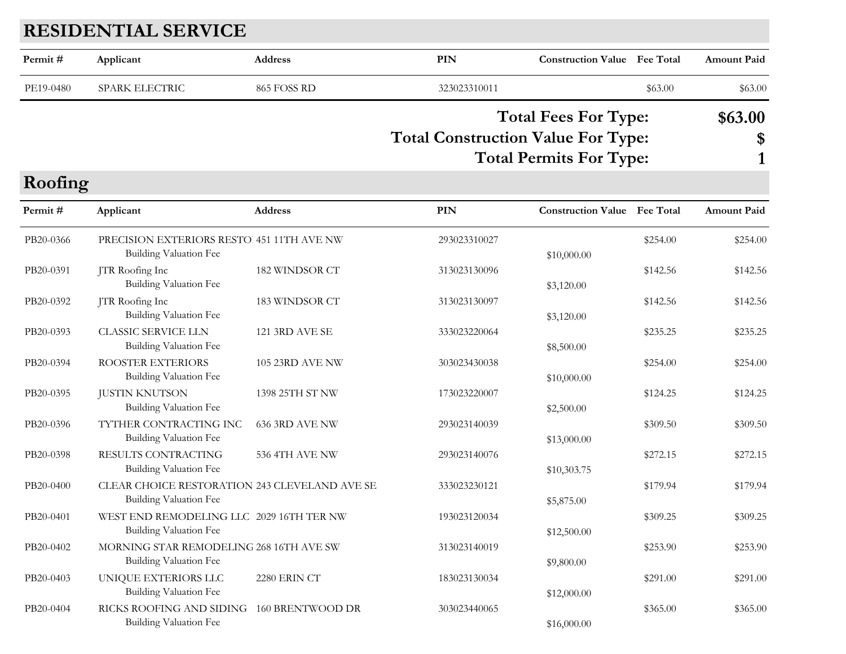## **RESIDENTIAL SERVICE**

**Roofing**

| Permit #  | Applicant      | Address     | PIN                                      | <b>Construction Value</b> Fee Total |         | <b>Amount Paid</b> |
|-----------|----------------|-------------|------------------------------------------|-------------------------------------|---------|--------------------|
| PE19-0480 | SPARK ELECTRIC | 865 FOSS RD | 323023310011                             |                                     | \$63.00 | \$63.00            |
|           |                |             | $\pi$ , $\alpha$ , $\mu$ , $\pi$ , $\pi$ | <b>Total Fees For Type:</b>         |         | \$63.00            |

#### **Total Construction Value For Type: \$ Total Permits For Type: 1**

| <b>NOOIIIIL</b> |                                                                                |                         |              |                                     |          |                    |
|-----------------|--------------------------------------------------------------------------------|-------------------------|--------------|-------------------------------------|----------|--------------------|
| Permit#         | Applicant                                                                      | <b>Address</b>          | PIN          | <b>Construction Value</b> Fee Total |          | <b>Amount Paid</b> |
| PB20-0366       | PRECISION EXTERIORS RESTO 451 11TH AVE NW<br>Building Valuation Fee            |                         | 293023310027 | \$10,000.00                         | \$254.00 | \$254.00           |
| PB20-0391       | JTR Roofing Inc<br>Building Valuation Fee                                      | 182 WINDSOR CT          | 313023130096 | \$3,120.00                          | \$142.56 | \$142.56           |
| PB20-0392       | JTR Roofing Inc<br>Building Valuation Fee                                      | 183 WINDSOR CT          | 313023130097 | \$3,120.00                          | \$142.56 | \$142.56           |
| PB20-0393       | <b>CLASSIC SERVICE LLN</b><br><b>Building Valuation Fee</b>                    | <b>121 3RD AVE SE</b>   | 333023220064 | \$8,500.00                          | \$235.25 | \$235.25           |
| PB20-0394       | ROOSTER EXTERIORS<br>Building Valuation Fee                                    | <b>105 23RD AVE NW</b>  | 303023430038 | \$10,000.00                         | \$254.00 | \$254.00           |
| PB20-0395       | <b>JUSTIN KNUTSON</b><br><b>Building Valuation Fee</b>                         | 1398 25TH ST NW         | 173023220007 | \$2,500.00                          | \$124.25 | \$124.25           |
| PB20-0396       | TYTHER CONTRACTING INC<br><b>Building Valuation Fee</b>                        | <b>636 3RD AVE NW</b>   | 293023140039 | \$13,000.00                         | \$309.50 | \$309.50           |
| PB20-0398       | RESULTS CONTRACTING<br>Building Valuation Fee                                  | 536 4TH AVE NW          | 293023140076 | \$10,303.75                         | \$272.15 | \$272.15           |
| PB20-0400       | CLEAR CHOICE RESTORATION 243 CLEVELAND AVE SE<br><b>Building Valuation Fee</b> |                         | 333023230121 | \$5,875.00                          | \$179.94 | \$179.94           |
| PB20-0401       | WEST END REMODELING LLC 2029 16TH TER NW<br>Building Valuation Fee             |                         | 193023120034 | \$12,500.00                         | \$309.25 | \$309.25           |
| PB20-0402       | MORNING STAR REMODELING 268 16TH AVE SW<br>Building Valuation Fee              |                         | 313023140019 | \$9,800.00                          | \$253.90 | \$253.90           |
| PB20-0403       | UNIQUE EXTERIORS LLC<br>Building Valuation Fee                                 | 2280 ERIN CT            | 183023130034 | \$12,000.00                         | \$291.00 | \$291.00           |
| PB20-0404       | RICKS ROOFING AND SIDING<br>Building Valuation Fee                             | <b>160 BRENTWOOD DR</b> | 303023440065 | \$16,000.00                         | \$365.00 | \$365.00           |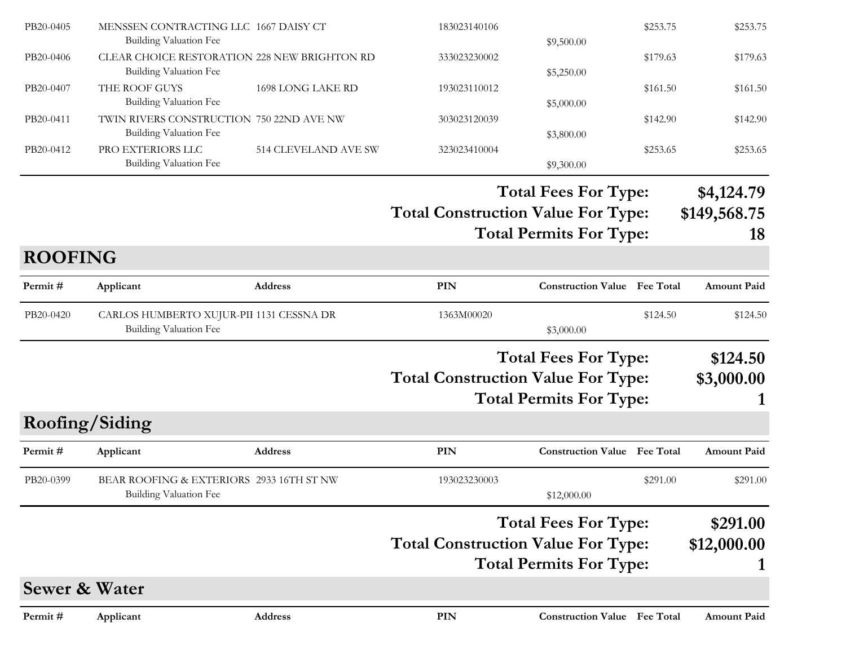| Applicant<br>BEAR ROOFING & EXTERIORS 2933 16TH ST NW<br>Building Valuation Fee |                                                    | 193023230003                                                                                                                                                                                          | \$12,000.00                  | \$291.00   | \$291.00                                                                                                                                                                                                                                                                                                                                                       |
|---------------------------------------------------------------------------------|----------------------------------------------------|-------------------------------------------------------------------------------------------------------------------------------------------------------------------------------------------------------|------------------------------|------------|----------------------------------------------------------------------------------------------------------------------------------------------------------------------------------------------------------------------------------------------------------------------------------------------------------------------------------------------------------------|
|                                                                                 |                                                    |                                                                                                                                                                                                       |                              |            |                                                                                                                                                                                                                                                                                                                                                                |
|                                                                                 |                                                    |                                                                                                                                                                                                       |                              |            | Amount Paid                                                                                                                                                                                                                                                                                                                                                    |
| Roofing/Siding                                                                  |                                                    |                                                                                                                                                                                                       |                              |            |                                                                                                                                                                                                                                                                                                                                                                |
|                                                                                 |                                                    |                                                                                                                                                                                                       |                              |            |                                                                                                                                                                                                                                                                                                                                                                |
|                                                                                 |                                                    |                                                                                                                                                                                                       |                              |            | \$3,000.00                                                                                                                                                                                                                                                                                                                                                     |
|                                                                                 |                                                    |                                                                                                                                                                                                       |                              |            | \$124.50                                                                                                                                                                                                                                                                                                                                                       |
| Building Valuation Fee                                                          |                                                    | 1363M00020                                                                                                                                                                                            | \$3,000.00                   | \$124.50   | \$124.50                                                                                                                                                                                                                                                                                                                                                       |
| Applicant                                                                       | Address                                            | <b>PIN</b>                                                                                                                                                                                            |                              |            | <b>Amount Paid</b>                                                                                                                                                                                                                                                                                                                                             |
| <b>ROOFING</b>                                                                  |                                                    |                                                                                                                                                                                                       |                              |            |                                                                                                                                                                                                                                                                                                                                                                |
|                                                                                 |                                                    |                                                                                                                                                                                                       |                              |            | 18                                                                                                                                                                                                                                                                                                                                                             |
|                                                                                 |                                                    |                                                                                                                                                                                                       |                              |            | \$149,568.75                                                                                                                                                                                                                                                                                                                                                   |
|                                                                                 |                                                    |                                                                                                                                                                                                       |                              |            | \$4,124.79                                                                                                                                                                                                                                                                                                                                                     |
| Building Valuation Fee                                                          |                                                    |                                                                                                                                                                                                       | \$9,300.00                   |            |                                                                                                                                                                                                                                                                                                                                                                |
| <b>Building Valuation Fee</b>                                                   |                                                    |                                                                                                                                                                                                       | \$3,800.00                   |            | \$253.65                                                                                                                                                                                                                                                                                                                                                       |
|                                                                                 |                                                    | 303023120039                                                                                                                                                                                          |                              | \$142.90   | \$142.90                                                                                                                                                                                                                                                                                                                                                       |
| THE ROOF GUYS                                                                   | 1698 LONG LAKE RD                                  | 193023110012                                                                                                                                                                                          |                              | \$161.50   | \$161.50                                                                                                                                                                                                                                                                                                                                                       |
| Building Valuation Fee                                                          |                                                    | 333023230002                                                                                                                                                                                          | \$5,250.00                   | \$179.63   | \$179.63                                                                                                                                                                                                                                                                                                                                                       |
| <b>Building Valuation Fee</b>                                                   |                                                    |                                                                                                                                                                                                       | \$9,500.00                   |            | \$253.75                                                                                                                                                                                                                                                                                                                                                       |
|                                                                                 | <b>Building Valuation Fee</b><br>PRO EXTERIORS LLC | MENSSEN CONTRACTING LLC 1667 DAISY CT<br>CLEAR CHOICE RESTORATION 228 NEW BRIGHTON RD<br>TWIN RIVERS CONSTRUCTION 750 22ND AVE NW<br>514 CLEVELAND AVE SW<br>CARLOS HUMBERTO XUJUR-PII 1131 CESSNA DR | 183023140106<br>323023410004 | \$5,000.00 | \$253.75<br>\$253.65<br><b>Total Fees For Type:</b><br><b>Total Construction Value For Type:</b><br><b>Total Permits For Type:</b><br><b>Construction Value</b> Fee Total<br><b>Total Fees For Type:</b><br><b>Total Construction Value For Type:</b><br><b>Total Permits For Type:</b><br><b>PIN</b><br><b>Construction Value Fee Total</b><br><b>Address</b> |

**Total Permits For Type: 1**

#### **Sewer & Water**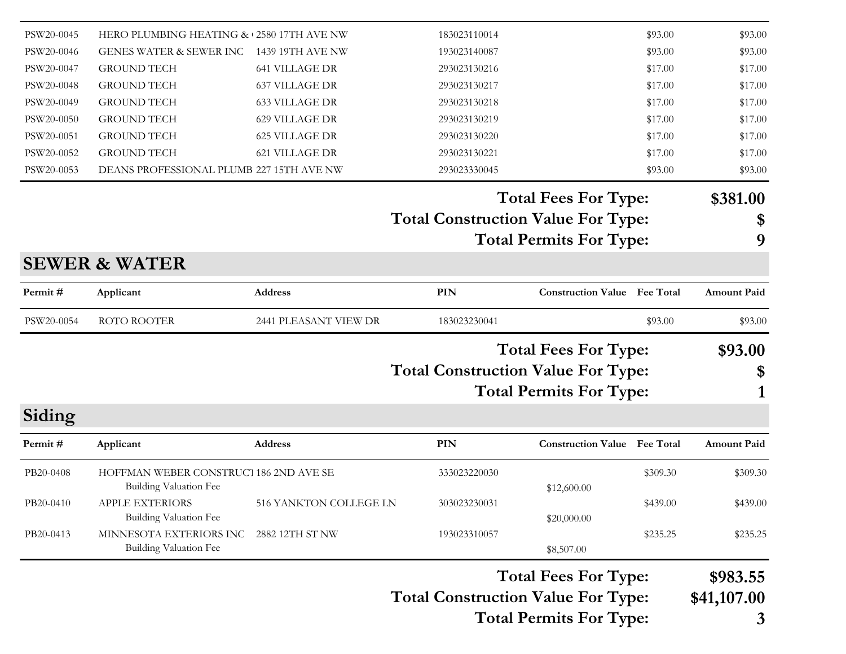|            |                                                         |                        |                                           | <b>Total Permits For Type:</b>      |          | 3                       |
|------------|---------------------------------------------------------|------------------------|-------------------------------------------|-------------------------------------|----------|-------------------------|
|            |                                                         |                        | <b>Total Construction Value For Type:</b> | <b>Total Fees For Type:</b>         |          | \$983.55<br>\$41,107.00 |
|            | Building Valuation Fee                                  |                        |                                           | \$8,507.00                          |          |                         |
| PB20-0413  | Building Valuation Fee<br>MINNESOTA EXTERIORS INC       | 2882 12TH ST NW        | 193023310057                              | \$20,000.00                         | \$235.25 | \$235.25                |
| PB20-0410  | <b>Building Valuation Fee</b><br><b>APPLE EXTERIORS</b> | 516 YANKTON COLLEGE LN | 303023230031                              | \$12,600.00                         | \$439.00 | \$439.00                |
| PB20-0408  | HOFFMAN WEBER CONSTRUCT 186 2ND AVE SE                  |                        | 333023220030                              |                                     | \$309.30 | \$309.30                |
| Permit#    | Applicant                                               | <b>Address</b>         | PIN                                       | <b>Construction Value</b> Fee Total |          | <b>Amount Paid</b>      |
| Siding     |                                                         |                        |                                           |                                     |          |                         |
|            |                                                         |                        |                                           | <b>Total Permits For Type:</b>      |          |                         |
|            |                                                         |                        | <b>Total Construction Value For Type:</b> |                                     |          | \$                      |
|            |                                                         |                        |                                           | <b>Total Fees For Type:</b>         |          | \$93.00                 |
| PSW20-0054 | ROTO ROOTER                                             | 2441 PLEASANT VIEW DR  | 183023230041                              |                                     | \$93.00  | \$93.00                 |
| Permit#    | Applicant                                               | Address                | <b>PIN</b>                                | <b>Construction Value Fee Total</b> |          | <b>Amount Paid</b>      |
|            | <b>SEWER &amp; WATER</b>                                |                        |                                           |                                     |          |                         |
|            |                                                         |                        |                                           | <b>Total Permits For Type:</b>      |          | 9                       |
|            |                                                         |                        | <b>Total Construction Value For Type:</b> |                                     |          | \$                      |
|            |                                                         |                        |                                           | <b>Total Fees For Type:</b>         |          | \$381.00                |
| PSW20-0053 | DEANS PROFESSIONAL PLUMB 227 15TH AVE NW                |                        | 293023330045                              |                                     | \$93.00  | \$93.00                 |
| PSW20-0052 | <b>GROUND TECH</b>                                      | 621 VILLAGE DR         | 293023130221                              |                                     | \$17.00  | \$17.00                 |
| PSW20-0051 | <b>GROUND TECH</b>                                      | <b>625 VILLAGE DR</b>  | 293023130220                              |                                     | \$17.00  | \$17.00                 |
| PSW20-0050 | <b>GROUND TECH</b>                                      | 629 VILLAGE DR         | 293023130219                              |                                     | \$17.00  | \$17.00                 |
| PSW20-0049 | <b>GROUND TECH</b>                                      | <b>633 VILLAGE DR</b>  | 293023130218                              |                                     | \$17.00  | \$17.00                 |
| PSW20-0048 | <b>GROUND TECH</b>                                      | <b>637 VILLAGE DR</b>  | 293023130217                              |                                     | \$17.00  | \$17.00                 |
| PSW20-0047 | <b>GROUND TECH</b>                                      | <b>641 VILLAGE DR</b>  | 293023130216                              |                                     | \$17.00  | \$17.00                 |
| PSW20-0046 | <b>GENES WATER &amp; SEWER INC</b>                      | 1439 19TH AVE NW       | 193023140087                              |                                     | \$93.00  | \$93.00                 |
| PSW20-0045 | HERO PLUMBING HEATING & 2580 17TH AVE NW                |                        | 183023110014                              |                                     | \$93.00  | \$93.00                 |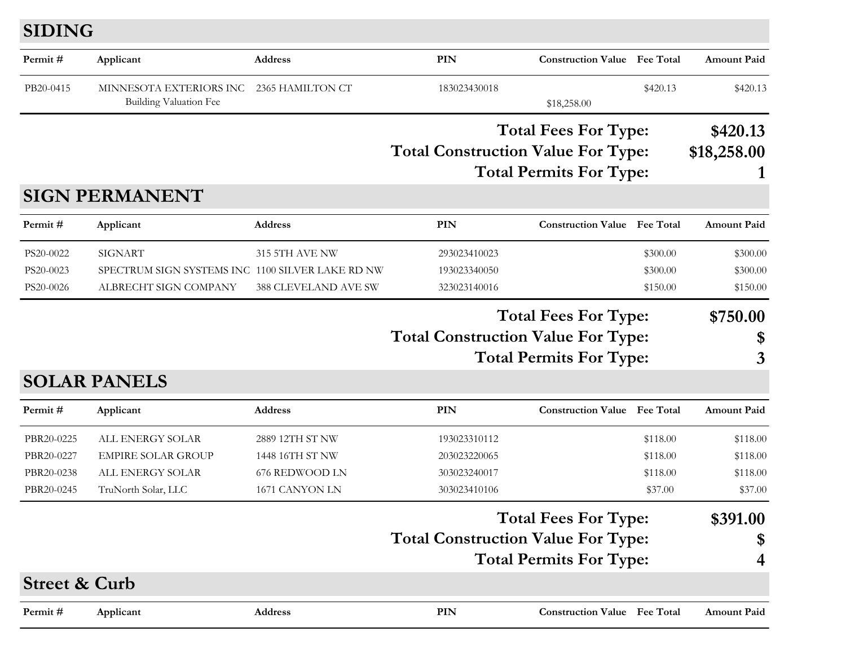#### **SIDING**

| Permit#                  | Applicant                                         | <b>Address</b>       | PIN                                       | <b>Construction Value</b> Fee Total |          | <b>Amount Paid</b> |
|--------------------------|---------------------------------------------------|----------------------|-------------------------------------------|-------------------------------------|----------|--------------------|
| PB20-0415                | MINNESOTA EXTERIORS INC<br>Building Valuation Fee | 2365 HAMILTON CT     | 183023430018                              | \$18,258.00                         | \$420.13 | \$420.13           |
|                          |                                                   |                      |                                           | <b>Total Fees For Type:</b>         |          | \$420.13           |
|                          |                                                   |                      | <b>Total Construction Value For Type:</b> |                                     |          | \$18,258.00        |
|                          |                                                   |                      |                                           | <b>Total Permits For Type:</b>      |          | 1                  |
|                          | <b>SIGN PERMANENT</b>                             |                      |                                           |                                     |          |                    |
| Permit#                  | Applicant                                         | <b>Address</b>       | <b>PIN</b>                                | <b>Construction Value</b> Fee Total |          | <b>Amount Paid</b> |
| PS20-0022                | <b>SIGNART</b>                                    | 315 5TH AVE NW       | 293023410023                              |                                     | \$300.00 | \$300.00           |
| PS20-0023                | SPECTRUM SIGN SYSTEMS INC 1100 SILVER LAKE RD NW  |                      | 193023340050                              |                                     | \$300.00 | \$300.00           |
| PS20-0026                | ALBRECHT SIGN COMPANY                             | 388 CLEVELAND AVE SW | 323023140016                              |                                     | \$150.00 | \$150.00           |
|                          |                                                   |                      |                                           | <b>Total Fees For Type:</b>         |          | \$750.00           |
|                          |                                                   |                      | <b>Total Construction Value For Type:</b> |                                     |          | \$                 |
|                          |                                                   |                      |                                           | <b>Total Permits For Type:</b>      |          | 3                  |
|                          | <b>SOLAR PANELS</b>                               |                      |                                           |                                     |          |                    |
| Permit#                  | Applicant                                         | <b>Address</b>       | <b>PIN</b>                                | <b>Construction Value</b> Fee Total |          | <b>Amount Paid</b> |
| PBR20-0225               | ALL ENERGY SOLAR                                  | 2889 12TH ST NW      | 193023310112                              |                                     | \$118.00 | \$118.00           |
| PBR20-0227               | <b>EMPIRE SOLAR GROUP</b>                         | 1448 16TH ST NW      | 203023220065                              |                                     | \$118.00 | \$118.00           |
| PBR20-0238               | ALL ENERGY SOLAR                                  | 676 REDWOOD LN       | 303023240017                              |                                     | \$118.00 | \$118.00           |
| PBR20-0245               | TruNorth Solar, LLC                               | 1671 CANYON LN       | 303023410106                              |                                     | \$37.00  | \$37.00            |
|                          |                                                   |                      |                                           | <b>Total Fees For Type:</b>         |          | \$391.00           |
|                          |                                                   |                      | <b>Total Construction Value For Type:</b> |                                     |          | \$                 |
|                          |                                                   |                      |                                           | <b>Total Permits For Type:</b>      |          | 4                  |
| <b>Street &amp; Curb</b> |                                                   |                      |                                           |                                     |          |                    |
| Permit#                  | Applicant                                         | <b>Address</b>       | PIN                                       | <b>Construction Value</b> Fee Total |          | <b>Amount Paid</b> |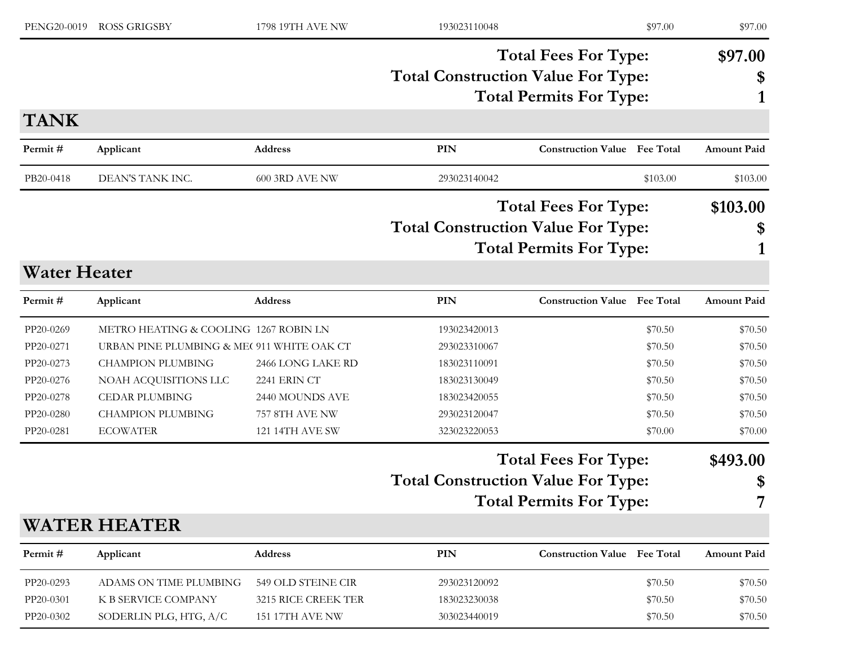| PENG20-0019         | <b>ROSS GRIGSBY</b>                        | 1798 19TH AVE NW       | 193023110048                              |                                     | \$97.00  | \$97.00            |
|---------------------|--------------------------------------------|------------------------|-------------------------------------------|-------------------------------------|----------|--------------------|
|                     |                                            |                        |                                           | <b>Total Fees For Type:</b>         |          | \$97.00            |
|                     |                                            |                        | <b>Total Construction Value For Type:</b> |                                     |          | \$                 |
|                     |                                            |                        |                                           | <b>Total Permits For Type:</b>      |          |                    |
| <b>TANK</b>         |                                            |                        |                                           |                                     |          |                    |
| Permit#             | Applicant                                  | Address                | PIN                                       | <b>Construction Value Fee Total</b> |          | <b>Amount Paid</b> |
| PB20-0418           | DEAN'S TANK INC.                           | <b>600 3RD AVE NW</b>  | 293023140042                              |                                     | \$103.00 | \$103.00           |
|                     |                                            |                        |                                           | <b>Total Fees For Type:</b>         |          | \$103.00           |
|                     |                                            |                        | <b>Total Construction Value For Type:</b> |                                     |          | \$                 |
|                     |                                            |                        |                                           | <b>Total Permits For Type:</b>      |          |                    |
| <b>Water Heater</b> |                                            |                        |                                           |                                     |          |                    |
| Permit#             | Applicant                                  | <b>Address</b>         | PIN                                       | <b>Construction Value Fee Total</b> |          | <b>Amount Paid</b> |
| PP20-0269           | METRO HEATING & COOLING 1267 ROBIN LN      |                        | 193023420013                              |                                     | \$70.50  | \$70.50            |
| PP20-0271           | URBAN PINE PLUMBING & ME( 911 WHITE OAK CT |                        | 293023310067                              |                                     | \$70.50  | \$70.50            |
| PP20-0273           | <b>CHAMPION PLUMBING</b>                   | 2466 LONG LAKE RD      | 183023110091                              |                                     | \$70.50  | \$70.50            |
| PP20-0276           | NOAH ACQUISITIONS LLC                      | 2241 ERIN CT           | 183023130049                              |                                     | \$70.50  | \$70.50            |
| PP20-0278           | <b>CEDAR PLUMBING</b>                      | 2440 MOUNDS AVE        | 183023420055                              |                                     | \$70.50  | \$70.50            |
| PP20-0280           | <b>CHAMPION PLUMBING</b>                   | 757 8TH AVE NW         | 293023120047                              |                                     | \$70.50  | \$70.50            |
| PP20-0281           | <b>ECOWATER</b>                            | 121 14TH AVE SW        | 323023220053                              |                                     | \$70.00  | \$70.00            |
|                     |                                            |                        |                                           | <b>Total Fees For Type:</b>         |          | \$493.00           |
|                     |                                            |                        | <b>Total Construction Value For Type:</b> |                                     |          | \$                 |
|                     |                                            |                        |                                           | <b>Total Permits For Type:</b>      |          |                    |
|                     | <b>WATER HEATER</b>                        |                        |                                           |                                     |          |                    |
| Permit#             | Applicant                                  | Address                | PIN                                       | <b>Construction Value</b> Fee Total |          | Amount Paid        |
| PP20-0293           | ADAMS ON TIME PLUMBING                     | 549 OLD STEINE CIR     | 293023120092                              |                                     | \$70.50  | \$70.50            |
| PP20-0301           | K B SERVICE COMPANY                        | 3215 RICE CREEK TER    | 183023230038                              |                                     | \$70.50  | \$70.50            |
| PP20-0302           | SODERLIN PLG, HTG, A/C                     | <b>151 17TH AVE NW</b> | 303023440019                              |                                     | \$70.50  | \$70.50            |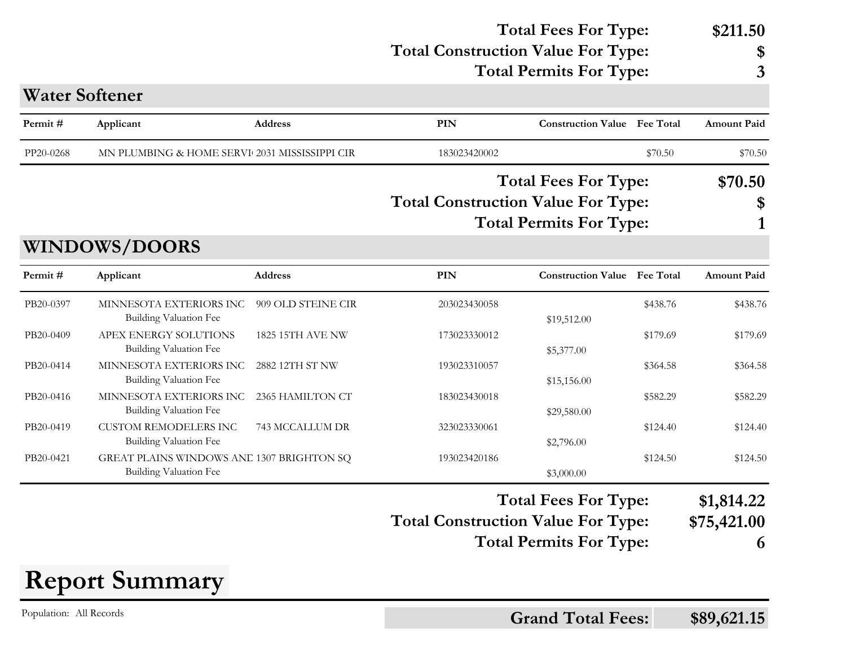#### **Total Construction Value For Type: \$ Total Fees For Type: \$211.50**

|           |                       |                                               |                                                                                                            | <b>Total Permits For Type:</b>      | 3                                    |
|-----------|-----------------------|-----------------------------------------------|------------------------------------------------------------------------------------------------------------|-------------------------------------|--------------------------------------|
|           | <b>Water Softener</b> |                                               |                                                                                                            |                                     |                                      |
| Permit #  | Applicant             | <b>Address</b>                                | <b>PIN</b>                                                                                                 | <b>Construction Value</b> Fee Total | <b>Amount Paid</b>                   |
| PP20-0268 |                       | MN PLUMBING & HOME SERVI 2031 MISSISSIPPI CIR | 183023420002                                                                                               | \$70.50                             | \$70.50                              |
|           |                       |                                               | <b>Total Fees For Type:</b><br><b>Total Construction Value For Type:</b><br><b>Total Permits For Type:</b> |                                     | \$70.50<br>$\boldsymbol{\mathsf{s}}$ |
|           |                       |                                               |                                                                                                            |                                     |                                      |

**WINDOWS/DOORS**

| Permit #  | Applicant                                 | <b>Address</b>          | PIN          | <b>Construction Value</b>   | <b>Fee Total</b> | <b>Amount Paid</b> |
|-----------|-------------------------------------------|-------------------------|--------------|-----------------------------|------------------|--------------------|
| PB20-0397 | MINNESOTA EXTERIORS INC                   | 909 OLD STEINE CIR      | 203023430058 |                             | \$438.76         | \$438.76           |
|           | Building Valuation Fee                    |                         |              | \$19,512.00                 |                  |                    |
| PB20-0409 | APEX ENERGY SOLUTIONS                     | <b>1825 15TH AVE NW</b> | 173023330012 |                             | \$179.69         | \$179.69           |
|           | Building Valuation Fee                    |                         |              | \$5,377.00                  |                  |                    |
| PB20-0414 | MINNESOTA EXTERIORS INC                   | 2882 12TH ST NW         | 193023310057 |                             | \$364.58         | \$364.58           |
|           | Building Valuation Fee                    |                         |              | \$15,156.00                 |                  |                    |
| PB20-0416 | MINNESOTA EXTERIORS INC                   | 2365 HAMILTON CT        | 183023430018 |                             | \$582.29         | \$582.29           |
|           | Building Valuation Fee                    |                         |              | \$29,580.00                 |                  |                    |
| PB20-0419 | <b>CUSTOM REMODELERS INC</b>              | 743 MCCALLUM DR         | 323023330061 |                             | \$124.40         | \$124.40           |
|           | Building Valuation Fee                    |                         |              | \$2,796.00                  |                  |                    |
| PB20-0421 | GREAT PLAINS WINDOWS ANE 1307 BRIGHTON SQ |                         | 193023420186 |                             | \$124.50         | \$124.50           |
|           | Building Valuation Fee                    |                         |              | \$3,000.00                  |                  |                    |
|           |                                           |                         |              | <b>Total Fees For Type:</b> |                  | \$1,814.22         |

- **Total Fees For Type: \$1,814.22**
- **Total Construction Value For Type: \$75,421.00**
	- **Total Permits For Type: 6**



Population: All Records